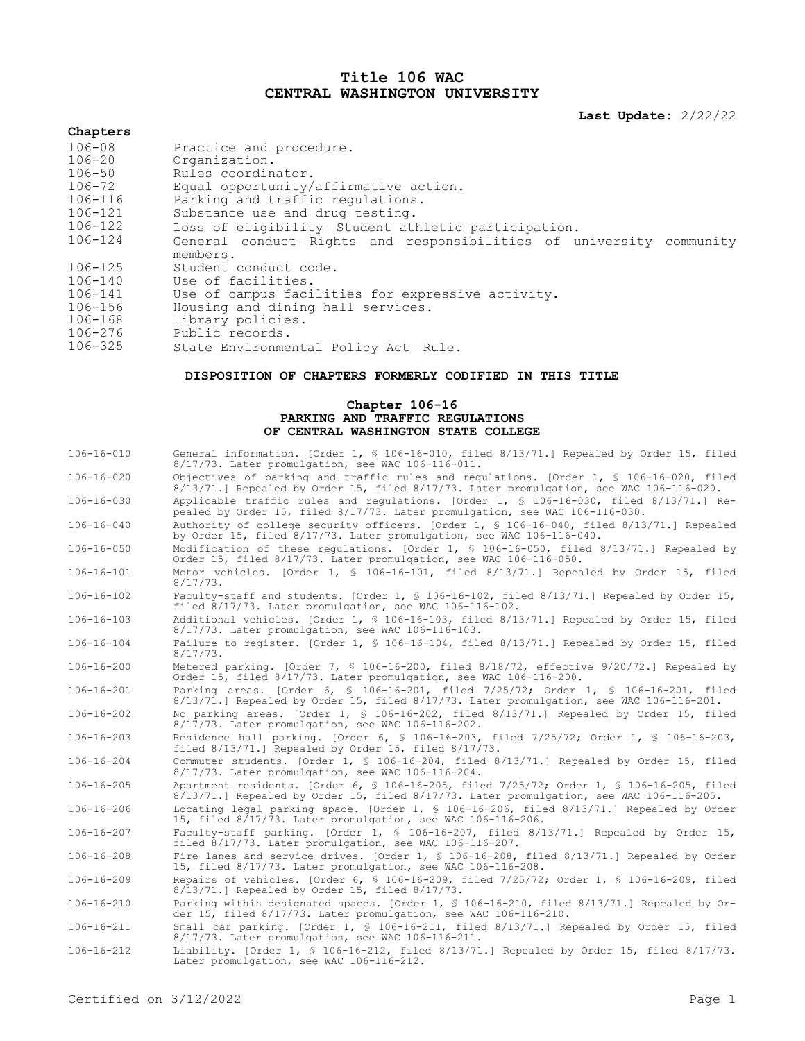# **Title 106 WAC CENTRAL WASHINGTON UNIVERSITY**

**Last Update:** 2/22/22

# **Chapters**

| $106 - 08$  | Practice and procedure.                                             |
|-------------|---------------------------------------------------------------------|
| $106 - 20$  | Organization.                                                       |
| $106 - 50$  | Rules coordinator.                                                  |
| $106 - 72$  | Equal opportunity/affirmative action.                               |
| 106-116     | Parking and traffic regulations.                                    |
| 106-121     | Substance use and drug testing.                                     |
| 106-122     | Loss of eligibility—Student athletic participation.                 |
| 106-124     | General conduct-Rights and responsibilities of university community |
|             | members.                                                            |
| $106 - 125$ | Student conduct code.                                               |
| $106 - 140$ | Use of facilities.                                                  |
| 106-141     | Use of campus facilities for expressive activity.                   |
| $106 - 156$ | Housing and dining hall services.                                   |
| 106-168     | Library policies.                                                   |
| 106-276     | Public records.                                                     |
| 106-325     | State Environmental Policy Act-Rule.                                |
|             |                                                                     |

# **DISPOSITION OF CHAPTERS FORMERLY CODIFIED IN THIS TITLE**

### **Chapter 106-16 PARKING AND TRAFFIC REGULATIONS OF CENTRAL WASHINGTON STATE COLLEGE**

| $106 - 16 - 010$ | General information. [Order 1, § 106-16-010, filed 8/13/71.] Repealed by Order 15, filed<br>8/17/73. Later promulgation, see WAC 106-116-011.                                       |
|------------------|-------------------------------------------------------------------------------------------------------------------------------------------------------------------------------------|
| $106 - 16 - 020$ | Objectives of parking and traffic rules and requlations. [Order 1, § 106-16-020, filed<br>8/13/71.] Repealed by Order 15, filed 8/17/73. Later promulgation, see WAC 106-116-020.   |
| $106 - 16 - 030$ | Applicable traffic rules and requlations. [Order 1, § 106-16-030, filed 8/13/71.] Re-<br>pealed by Order 15, filed 8/17/73. Later promulgation, see WAC 106-116-030.                |
| $106 - 16 - 040$ | Authority of college security officers. [Order 1, § 106-16-040, filed 8/13/71.] Repealed<br>by Order 15, filed 8/17/73. Later promulgation, see WAC 106-116-040.                    |
| $106 - 16 - 050$ | Modification of these requlations. [Order 1, § 106-16-050, filed 8/13/71.] Repealed by<br>Order 15, filed 8/17/73. Later promulgation, see WAC 106-116-050.                         |
| $106 - 16 - 101$ | Motor vehicles. [Order 1, § 106-16-101, filed 8/13/71.] Repealed by Order 15, filed<br>$8/17/73$ .                                                                                  |
| $106 - 16 - 102$ | Faculty-staff and students. [Order 1, § 106-16-102, filed 8/13/71.] Repealed by Order 15,<br>filed 8/17/73. Later promulgation, see WAC 106-116-102.                                |
| $106 - 16 - 103$ | Additional vehicles. [Order 1, § 106-16-103, filed 8/13/71.] Repealed by Order 15, filed<br>8/17/73. Later promulgation, see WAC 106-116-103.                                       |
| $106 - 16 - 104$ | Failure to register. [Order 1, § 106-16-104, filed 8/13/71.] Repealed by Order 15, filed<br>$8/17/73$ .                                                                             |
| $106 - 16 - 200$ | Metered parking. [Order 7, § 106-16-200, filed 8/18/72, effective 9/20/72.] Repealed by<br>Order 15, filed 8/17/73. Later promulgation, see WAC 106-116-200.                        |
| $106 - 16 - 201$ | Parking areas. [Order 6, § 106-16-201, filed 7/25/72; Order 1, § 106-16-201, filed<br>8/13/71.] Repealed by Order 15, filed 8/17/73. Later promulgation, see WAC 106-116-201.       |
| $106 - 16 - 202$ | No parking areas. [Order 1, § 106-16-202, filed 8/13/71.] Repealed by Order 15, filed<br>8/17/73. Later promulgation, see WAC 106-116-202.                                          |
| $106 - 16 - 203$ | Residence hall parking. [Order 6, § 106-16-203, filed 7/25/72; Order 1, § 106-16-203,<br>filed 8/13/71.] Repealed by Order 15, filed 8/17/73.                                       |
| $106 - 16 - 204$ | Commuter students. [Order 1, § 106-16-204, filed 8/13/71.] Repealed by Order 15, filed<br>8/17/73. Later promulgation, see WAC 106-116-204.                                         |
| $106 - 16 - 205$ | Apartment residents. [Order 6, § 106-16-205, filed 7/25/72; Order 1, § 106-16-205, filed<br>8/13/71.] Repealed by Order 15, filed 8/17/73. Later promulgation, see WAC 106-116-205. |
| $106 - 16 - 206$ | Locating legal parking space. [Order 1, § 106-16-206, filed 8/13/71.] Repealed by Order<br>15, filed 8/17/73. Later promulgation, see WAC 106-116-206.                              |
| $106 - 16 - 207$ | Faculty-staff parking. [Order 1, § 106-16-207, filed 8/13/71.] Repealed by Order 15,<br>filed 8/17/73. Later promulgation, see WAC 106-116-207.                                     |
| $106 - 16 - 208$ | Fire lanes and service drives. [Order 1, § 106-16-208, filed 8/13/71.] Repealed by Order<br>15, filed 8/17/73. Later promulgation, see WAC 106-116-208.                             |
| $106 - 16 - 209$ | Repairs of vehicles. [Order 6, § 106-16-209, filed 7/25/72; Order 1, § 106-16-209, filed<br>8/13/71.1 Repealed by Order 15, filed 8/17/73.                                          |
| $106 - 16 - 210$ | Parking within designated spaces. [Order 1, § 106-16-210, filed 8/13/71.] Repealed by Or-<br>der 15, filed 8/17/73. Later promulgation, see WAC 106-116-210.                        |
| $106 - 16 - 211$ | Small car parking. [Order 1, § 106-16-211, filed 8/13/71.] Repealed by Order 15, filed<br>8/17/73. Later promulgation, see WAC 106-116-211.                                         |
| $106 - 16 - 212$ | Liability. [Order 1, § 106-16-212, filed $8/13/71$ .] Repealed by Order 15, filed $8/17/73$ .<br>Later promulgation, see WAC 106-116-212.                                           |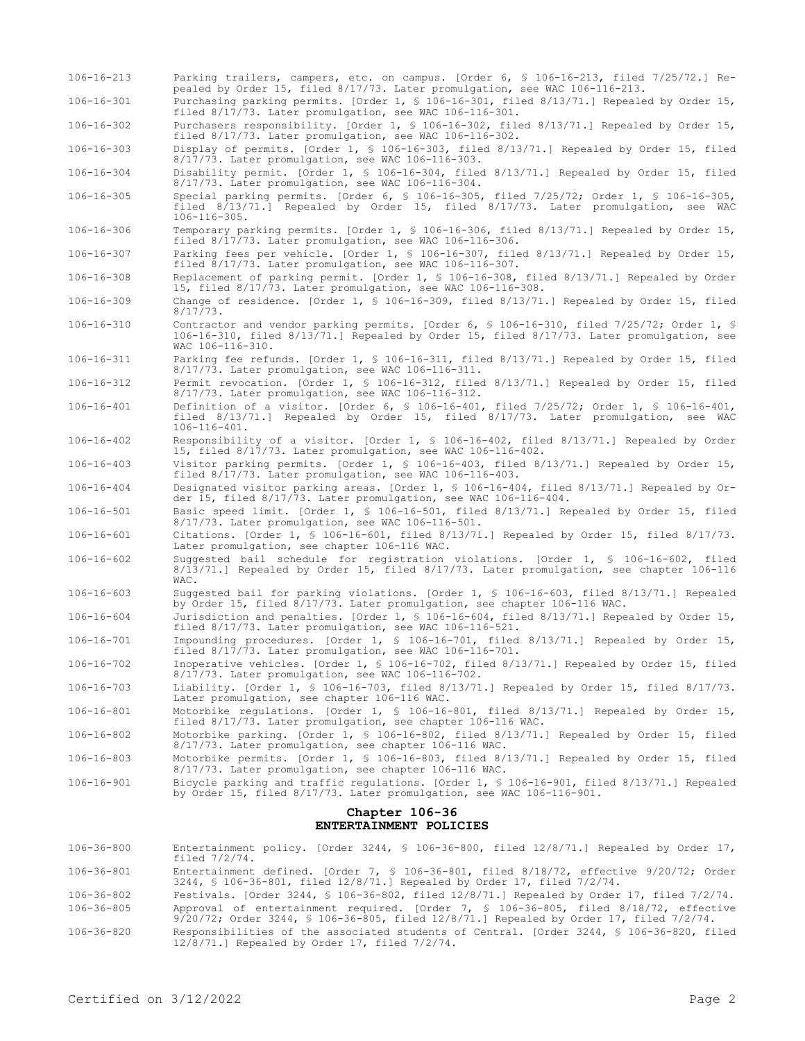| $106 - 16 - 213$       | Parking trailers, campers, etc. on campus. [Order 6, § 106-16-213, filed 7/25/72.] Re-<br>pealed by Order 15, filed 8/17/73. Later promulgation, see WAC 106-116-213.                                    |  |
|------------------------|----------------------------------------------------------------------------------------------------------------------------------------------------------------------------------------------------------|--|
| $106 - 16 - 301$       | Purchasing parking permits. [Order 1, § 106-16-301, filed 8/13/71.] Repealed by Order 15,<br>filed 8/17/73. Later promulgation, see WAC 106-116-301.                                                     |  |
| $106 - 16 - 302$       | Purchasers responsibility. [Order 1, § 106-16-302, filed 8/13/71.] Repealed by Order 15,<br>filed 8/17/73. Later promulgation, see WAC 106-116-302.                                                      |  |
| $106 - 16 - 303$       | Display of permits. [Order 1, § 106-16-303, filed 8/13/71.] Repealed by Order 15, filed<br>8/17/73. Later promulgation, see WAC 106-116-303.                                                             |  |
| $106 - 16 - 304$       | Disability permit. [Order 1, § 106-16-304, filed 8/13/71.] Repealed by Order 15, filed<br>$8/17/73$ . Later promulgation, see WAC 106-116-304.                                                           |  |
| $106 - 16 - 305$       | Special parking permits. [Order 6, § 106-16-305, filed 7/25/72; Order 1, § 106-16-305,<br>filed 8/13/71.] Repealed by Order 15, filed 8/17/73. Later promulgation, see WAC<br>$106 - 116 - 305$ .        |  |
| $106 - 16 - 306$       | Temporary parking permits. [Order 1, § 106-16-306, filed 8/13/71.] Repealed by Order 15,<br>filed 8/17/73. Later promulgation, see WAC 106-116-306.                                                      |  |
| $106 - 16 - 307$       | Parking fees per vehicle. [Order 1, § 106-16-307, filed 8/13/71.] Repealed by Order 15,<br>filed 8/17/73. Later promulgation, see WAC 106-116-307.                                                       |  |
| $106 - 16 - 308$       | Replacement of parking permit. [Order 1, § 106-16-308, filed 8/13/71.] Repealed by Order<br>15, filed 8/17/73. Later promulgation, see WAC 106-116-308.                                                  |  |
| $106 - 16 - 309$       | Change of residence. [Order 1, § 106-16-309, filed 8/13/71.] Repealed by Order 15, filed<br>8/17/73.                                                                                                     |  |
| $106 - 16 - 310$       | Contractor and vendor parking permits. [Order 6, § 106-16-310, filed 7/25/72; Order 1, §<br>106-16-310, filed 8/13/71.] Repealed by Order 15, filed 8/17/73. Later promulgation, see<br>WAC 106-116-310. |  |
| $106 - 16 - 311$       | Parking fee refunds. [Order 1, § 106-16-311, filed 8/13/71.] Repealed by Order 15, filed<br>$8/17/73$ . Later promulgation, see WAC 106-116-311.                                                         |  |
| $106 - 16 - 312$       | Permit revocation. [Order 1, § 106-16-312, filed 8/13/71.] Repealed by Order 15, filed<br>$8/17/73$ . Later promulgation, see WAC 106-116-312.                                                           |  |
| $106 - 16 - 401$       | Definition of a visitor. [Order 6, § 106-16-401, filed 7/25/72; Order 1, § 106-16-401,<br>filed 8/13/71.] Repealed by Order 15, filed 8/17/73. Later promulgation, see WAC<br>$106 - 116 - 401.$         |  |
| $106 - 16 - 402$       | Responsibility of a visitor. [Order 1, § 106-16-402, filed 8/13/71.] Repealed by Order<br>15, filed 8/17/73. Later promulgation, see WAC 106-116-402.                                                    |  |
| $106 - 16 - 403$       | Visitor parking permits. [Order 1, § 106-16-403, filed 8/13/71.] Repealed by Order 15,<br>filed 8/17/73. Later promulgation, see WAC 106-116-403.                                                        |  |
| $106 - 16 - 404$       | Designated visitor parking areas. [Order 1, § 106-16-404, filed 8/13/71.] Repealed by Or-<br>der 15, filed 8/17/73. Later promulgation, see WAC 106-116-404.                                             |  |
| $106 - 16 - 501$       | Basic speed limit. [Order 1, § 106-16-501, filed 8/13/71.] Repealed by Order 15, filed<br>8/17/73. Later promulgation, see WAC 106-116-501.                                                              |  |
| $106 - 16 - 601$       | Citations. [Order 1, § 106-16-601, filed 8/13/71.] Repealed by Order 15, filed 8/17/73.<br>Later promulgation, see chapter 106-116 WAC.                                                                  |  |
| $106 - 16 - 602$       | Suggested bail schedule for registration violations. [Order 1, § 106-16-602, filed<br>8/13/71.] Repealed by Order 15, filed 8/17/73. Later promulgation, see chapter 106-116<br>WAC.                     |  |
| $106 - 16 - 603$       | Suggested bail for parking violations. [Order 1, § 106-16-603, filed 8/13/71.] Repealed<br>by Order 15, filed 8/17/73. Later promulgation, see chapter 106-116 WAC.                                      |  |
| $106 - 16 - 604$       | Jurisdiction and penalties. [Order 1, § 106-16-604, filed 8/13/71.] Repealed by Order 15,<br>filed 8/17/73. Later promulgation, see WAC 106-116-521.                                                     |  |
| $106 - 16 - 701$       | Impounding procedures. [Order 1, § 106-16-701, filed 8/13/71.] Repealed by Order 15,<br>filed 8/17/73. Later promulgation, see WAC 106-116-701.                                                          |  |
| $106 - 16 - 702$       | Inoperative vehicles. [Order 1, § 106-16-702, filed 8/13/71.] Repealed by Order 15, filed<br>8/17/73. Later promulgation, see WAC 106-116-702.                                                           |  |
| $106 - 16 - 703$       | Liability. [Order 1, § 106-16-703, filed 8/13/71.] Repealed by Order 15, filed 8/17/73.<br>Later promulgation, see chapter 106-116 WAC.                                                                  |  |
| $106 - 16 - 801$       | Motorbike requlations. [Order 1, $\frac{1}{5}$ 106-16-801, filed 8/13/71.] Repealed by Order 15,<br>filed 8/17/73. Later promulgation, see chapter 106-116 WAC.                                          |  |
| $106 - 16 - 802$       | Motorbike parking. [Order 1, § 106-16-802, filed 8/13/71.] Repealed by Order 15, filed<br>8/17/73. Later promulgation, see chapter 106-116 WAC.                                                          |  |
| $106 - 16 - 803$       | Motorbike permits. [Order 1, § 106-16-803, filed 8/13/71.] Repealed by Order 15, filed<br>8/17/73. Later promulgation, see chapter 106-116 WAC.                                                          |  |
| $106 - 16 - 901$       | Bicycle parking and traffic regulations. [Order 1, § 106-16-901, filed 8/13/71.] Repealed<br>by Order 15, filed 8/17/73. Later promulgation, see WAC 106-116-901.                                        |  |
| Chapter 106-36         |                                                                                                                                                                                                          |  |
| ENTERTAINMENT POLICIES |                                                                                                                                                                                                          |  |
| 106-36-800             | Entertainment policy. [Order 3244, § 106-36-800, filed $12/8/71$ .] Repealed by Order 17,<br>filed $7/2/74$ .                                                                                            |  |

- 106-36-801 Entertainment defined. [Order 7, § 106-36-801, filed 8/18/72, effective 9/20/72; Order 3244, § 106-36-801, filed 12/8/71.] Repealed by Order 17, filed 7/2/74.
- 106-36-802 Festivals. [Order 3244, § 106-36-802, filed 12/8/71.] Repealed by Order 17, filed 7/2/74. 106-36-805 Approval of entertainment required. [Order 7, § 106-36-805, filed 8/18/72, effective 9/20/72; Order 3244, § 106-36-805, filed 12/8/71.] Repealed by Order 17, filed 7/2/74.
- 106-36-820 Responsibilities of the associated students of Central. [Order 3244, § 106-36-820, filed 12/8/71.] Repealed by Order 17, filed 7/2/74.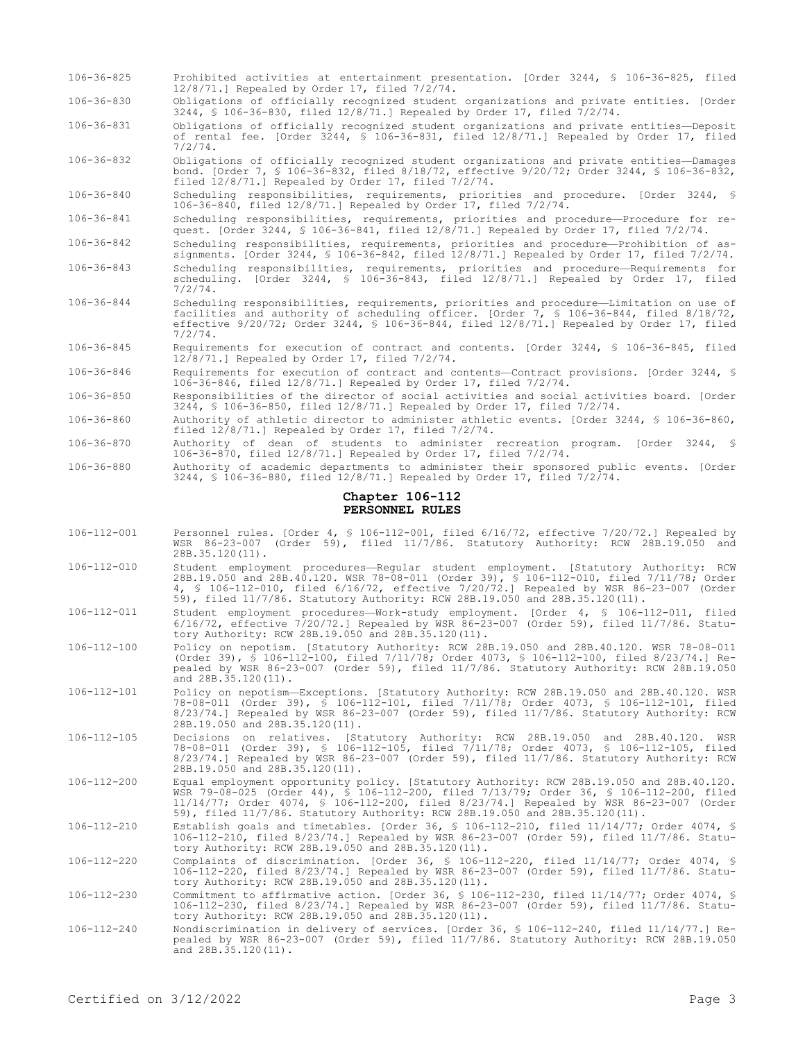| $106 - 36 - 825$                   | Prohibited activities at entertainment presentation. [Order 3244, § 106-36-825, filed<br>$12/8/71$ . Repealed by Order 17, filed $7/2/74$ .                                                                                                                                                                                                                 |  |
|------------------------------------|-------------------------------------------------------------------------------------------------------------------------------------------------------------------------------------------------------------------------------------------------------------------------------------------------------------------------------------------------------------|--|
| $106 - 36 - 830$                   | Obligations of officially recognized student organizations and private entities. [Order<br>3244, \$ 106-36-830, filed 12/8/71.] Repealed by Order 17, filed 7/2/74.                                                                                                                                                                                         |  |
| $106 - 36 - 831$                   | Obligations of officially recognized student organizations and private entities-Deposit<br>of rental fee. [Order 3244, § 106-36-831, filed 12/8/71.] Repealed by Order 17, filed<br>7/2/74.                                                                                                                                                                 |  |
| $106 - 36 - 832$                   | Obligations of officially recognized student organizations and private entities—Damages<br>bond. [Order 7, § 106-36-832, filed 8/18/72, effective 9/20/72; Order 3244, § 106-36-832,<br>filed $12/8/71$ . Repealed by Order 17, filed $7/2/74$ .                                                                                                            |  |
| 106-36-840                         | Scheduling responsibilities, requirements, priorities and procedure. [Order 3244, §<br>106-36-840, filed $12/8/71$ . Repealed by Order 17, filed $7/2/74$ .                                                                                                                                                                                                 |  |
| $106 - 36 - 841$                   | Scheduling responsibilities, requirements, priorities and procedure-Procedure for re-<br>quest. [Order 3244, § 106-36-841, filed 12/8/71.] Repealed by Order 17, filed 7/2/74.                                                                                                                                                                              |  |
| $106 - 36 - 842$                   | Scheduling responsibilities, requirements, priorities and procedure-Prohibition of as-<br>signments. [Order 3244, § 106-36-842, filed $12/8/71$ .] Repealed by Order 17, filed $7/2/74$ .                                                                                                                                                                   |  |
| $106 - 36 - 843$                   | Scheduling responsibilities, requirements, priorities and procedure-Requirements for<br>scheduling. [Order 3244, § 106-36-843, filed 12/8/71.] Repealed by Order 17, filed<br>7/2/74.                                                                                                                                                                       |  |
| $106 - 36 - 844$                   | Scheduling responsibilities, requirements, priorities and procedure—Limitation on use of<br>facilities and authority of scheduling officer. [Order 7, § 106-36-844, filed 8/18/72,<br>effective $9/20/72$ ; Order 3244, § 106-36-844, filed 12/8/71.] Repealed by Order 17, filed<br>7/2/74.                                                                |  |
| $106 - 36 - 845$                   | Requirements for execution of contract and contents. [Order 3244, § 106-36-845, filed<br>$12/8/71$ . Repealed by Order 17, filed $7/2/74$ .                                                                                                                                                                                                                 |  |
| $106 - 36 - 846$                   | Requirements for execution of contract and contents-Contract provisions. [Order 3244, §<br>106-36-846, filed $12/8/71$ .] Repealed by Order 17, filed $7/2/74$ .                                                                                                                                                                                            |  |
| $106 - 36 - 850$                   | Responsibilities of the director of social activities and social activities board. [Order<br>3244, § 106-36-850, filed 12/8/71.] Repealed by Order 17, filed $7/2/74$ .                                                                                                                                                                                     |  |
| 106-36-860                         | Authority of athletic director to administer athletic events. [Order 3244, § 106-36-860,<br>filed $12/8/71$ . Repealed by Order 17, filed $7/2/74$ .                                                                                                                                                                                                        |  |
| $106 - 36 - 870$                   | Authority of dean of students to administer recreation program. [Order 3244, §<br>106-36-870, filed 12/8/71.] Repealed by Order 17, filed 7/2/74.                                                                                                                                                                                                           |  |
| $106 - 36 - 880$                   | Authority of academic departments to administer their sponsored public events. [Order<br>3244, § 106-36-880, filed 12/8/71.] Repealed by Order 17, filed $7/2/74$ .                                                                                                                                                                                         |  |
| Chapter 106-112<br>PERSONNEL RULES |                                                                                                                                                                                                                                                                                                                                                             |  |
|                                    |                                                                                                                                                                                                                                                                                                                                                             |  |
| 106-112-001                        | Personnel rules. [Order 4, § 106-112-001, filed 6/16/72, effective 7/20/72.] Repealed by<br>WSR 86-23-007 (Order 59), filed 11/7/86. Statutory Authority: RCW 28B.19.050 and<br>$28B.35.120(11)$ .                                                                                                                                                          |  |
| 106-112-010                        | Student employment procedures-Reqular student employment. [Statutory Authority: RCW<br>28B.19.050 and 28B.40.120. WSR 78-08-011 (Order 39), § 106-112-010, filed 7/11/78; Order<br>4, \$ 106-112-010, filed 6/16/72, effective 7/20/72.] Repealed by WSR 86-23-007 (Order<br>59), filed 11/7/86. Statutory Authority: RCW 28B.19.050 and 28B.35.120(11).    |  |
| $106 - 112 - 011$                  | Student employment procedures-Work-study employment. [Order 4, § 106-112-011, filed<br>$6/16/72$ , effective $7/20/72$ . Repealed by WSR 86-23-007 (Order 59), filed 11/7/86. Statu-<br>tory Authority: RCW 28B.19.050 and 28B.35.120(11).                                                                                                                  |  |
| 106-112-100                        | Policy on nepotism. [Statutory Authority: RCW 28B.19.050 and 28B.40.120. WSR 78-08-011<br>(Order 39), § 106-112-100, filed 7/11/78; Order 4073, § 106-112-100, filed 8/23/74.] Re-<br>pealed by WSR 86-23-007 (Order 59), filed 11/7/86. Statutory Authority: RCW 28B.19.050<br>and 28B.35.120(11).                                                         |  |
| 106-112-101                        | Policy on nepotism-Exceptions. [Statutory Authority: RCW 28B.19.050 and 28B.40.120. WSR<br>78-08-011 (Order 39), § 106-112-101, filed 7/11/78; Order 4073, § 106-112-101, filed<br>8/23/74.] Repealed by WSR 86-23-007 (Order 59), filed 11/7/86. Statutory Authority: RCW<br>28B.19.050 and 28B.35.120(11).                                                |  |
| $106 - 112 - 105$                  | Decisions on relatives. [Statutory Authority: RCW 28B.19.050 and 28B.40.120.<br>WSR<br>78-08-011 (Order 39), § 106-112-105, filed 7/11/78; Order 4073, § 106-112-105, filed<br>$8/23/74$ .] Repealed by WSR 86-23-007 (Order 59), filed 11/7/86. Statutory Authority: RCW<br>28B.19.050 and 28B.35.120(11).                                                 |  |
| 106-112-200                        | Equal employment opportunity policy. [Statutory Authority: RCW 28B.19.050 and 28B.40.120.<br>WSR 79-08-025 (Order 44), § 106-112-200, filed 7/13/79; Order 36, § 106-112-200, filed<br>11/14/77; Order 4074, § 106-112-200, filed 8/23/74.] Repealed by WSR 86-23-007 (Order<br>59), filed 11/7/86. Statutory Authority: RCW 28B.19.050 and 28B.35.120(11). |  |
| 106-112-210                        | Establish goals and timetables. [Order 36, § 106-112-210, filed 11/14/77; Order 4074, §<br>106-112-210, filed 8/23/74.] Repealed by WSR 86-23-007 (Order 59), filed 11/7/86. Statu-<br>tory Authority: RCW 28B.19.050 and 28B.35.120(11).                                                                                                                   |  |
| 106-112-220                        | Complaints of discrimination. [Order 36, § 106-112-220, filed 11/14/77; Order 4074, §<br>106-112-220, filed 8/23/74.] Repealed by WSR 86-23-007 (Order 59), filed 11/7/86. Statu-                                                                                                                                                                           |  |
| 106-112-230                        | tory Authority: RCW 28B.19.050 and 28B.35.120(11).<br>Commitment to affirmative action. [Order 36, § 106-112-230, filed 11/14/77; Order 4074, §<br>106-112-230, filed 8/23/74.] Repealed by WSR 86-23-007 (Order 59), filed 11/7/86. Statu-<br>tory Authority: RCW 28B.19.050 and 28B.35.120(11).                                                           |  |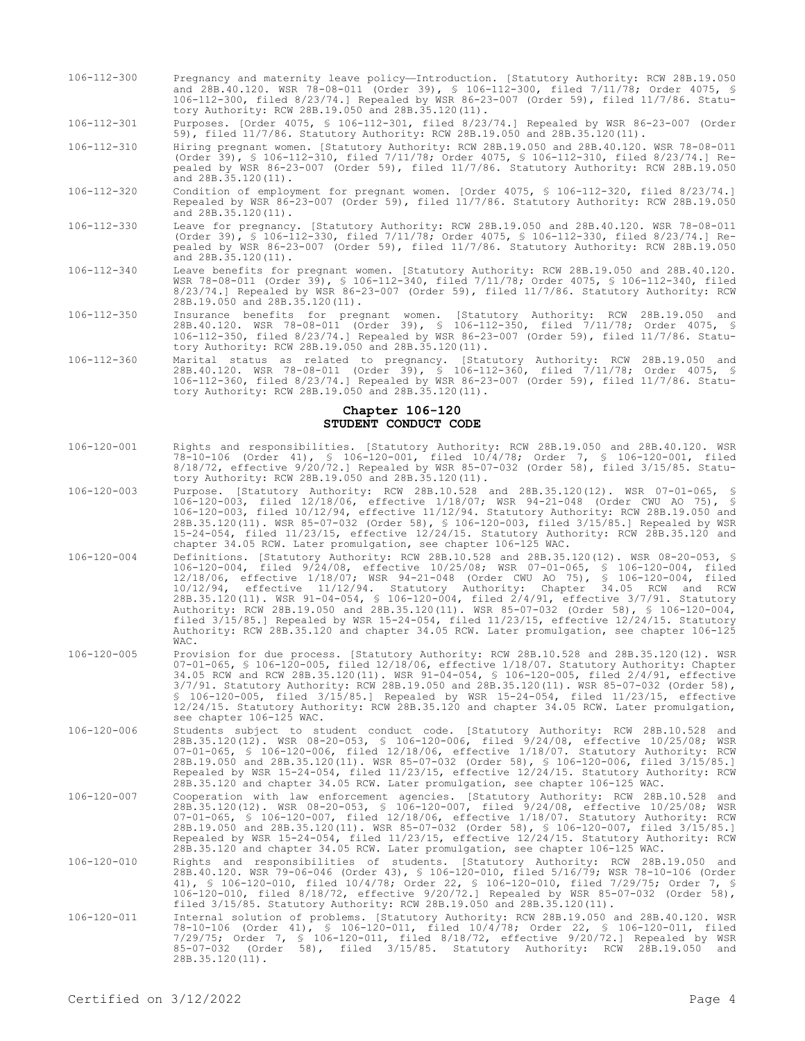- 106-112-300 Pregnancy and maternity leave policy—Introduction. [Statutory Authority: RCW 28B.19.050 and 28B.40.120. WSR 78-08-011 (Order 39), § 106-112-300, filed 7/11/78; Order 4075, § 106-112-300, filed 8/23/74.] Repealed by WSR 86-23-007 (Order 59), filed 11/7/86. Statutory Authority: RCW 28B.19.050 and 28B.35.120(11).
- 106-112-301 Purposes. [Order 4075, § 106-112-301, filed 8/23/74.] Repealed by WSR 86-23-007 (Order 59), filed 11/7/86. Statutory Authority: RCW 28B.19.050 and 28B.35.120(11).

106-112-310 Hiring pregnant women. [Statutory Authority: RCW 28B.19.050 and 28B.40.120. WSR 78-08-011 (Order 39), § 106-112-310, filed 7/11/78; Order 4075, § 106-112-310, filed 8/23/74.] Repealed by WSR 86-23-007 (Order 59), filed 11/7/86. Statutory Authority: RCW 28B.19.050 and 28B.35.120(11).

- 106-112-320 Condition of employment for pregnant women. [Order 4075, § 106-112-320, filed 8/23/74.] Repealed by WSR 86-23-007 (Order 59), filed 11/7/86. Statutory Authority: RCW 28B.19.050 and 28B.35.120(11).
- 106-112-330 Leave for pregnancy. [Statutory Authority: RCW 28B.19.050 and 28B.40.120. WSR 78-08-011 (Order 39), § 106-112-330, filed 7/11/78; Order 4075, § 106-112-330, filed 8/23/74.] Repealed by WSR 86-23-007 (Order 59), filed 11/7/86. Statutory Authority: RCW 28B.19.050 and  $28B.35.120(11)$ .
- 106-112-340 Leave benefits for pregnant women. [Statutory Authority: RCW 28B.19.050 and 28B.40.120. WSR 78-08-011 (Order 39), § 106-112-340, filed 7/11/78; Order 4075, § 106-112-340, filed 8/23/74.] Repealed by WSR 86-23-007 (Order 59), filed 11/7/86. Statutory Authority: RCW 28B.19.050 and 28B.35.120(11).
- 106-112-350 Insurance benefits for pregnant women. [Statutory Authority: RCW 28B.19.050 and 28B.40.120. WSR 78-08-011 (Order 39), § 106-112-350, filed 7/11/78; Order 4075, § 106-112-350, filed 8/23/74.] Repealed by WSR 86-23-007 (Order 59), filed 11/7/86. Statutory Authority: RCW 28B.19.050 and 28B.35.120(11).
- 106-112-360 Marital status as related to pregnancy. [Statutory Authority: RCW 28B.19.050 and 28B.40.120. WSR 78-08-011 (Order 39), § 106-112-360, filed 7/11/78; Order 4075, § 106-112-360, filed 8/23/74.] Repealed by WSR 86-23-007 (Order 59), filed 11/7/86. Statutory Authority: RCW 28B.19.050 and 28B.35.120(11).

## **Chapter 106-120 STUDENT CONDUCT CODE**

- 106-120-001 Rights and responsibilities. [Statutory Authority: RCW 28B.19.050 and 28B.40.120. WSR 78-10-106 (Order 41), § 106-120-001, filed 10/4/78; Order 7, § 106-120-001, filed 8/18/72, effective 9/20/72.] Repealed by WSR 85-07-032 (Order 58), filed 3/15/85. Statutory Authority: RCW 28B.19.050 and 28B.35.120(11).
- 106-120-003 Purpose. [Statutory Authority: RCW 28B.10.528 and 28B.35.120(12). WSR 07-01-065, § 106-120-003, filed 12/18/06, effective 1/18/07; WSR 94-21-048 (Order CWU AO 75), § 106-120-003, filed 10/12/94, effective 11/12/94. Statutory Authority: RCW 28B.19.050 and 28B.35.120(11). WSR 85-07-032 (Order 58), § 106-120-003, filed 3/15/85.] Repealed by WSR 15-24-054, filed 11/23/15, effective 12/24/15. Statutory Authority: RCW 28B.35.120 and chapter 34.05 RCW. Later promulgation, see chapter 106-125 WAC.
- 106-120-004 Definitions. [Statutory Authority: RCW 28B.10.528 and 28B.35.120(12). WSR 08-20-053, § 106-120-004, filed 9/24/08, effective 10/25/08; WSR 07-01-065, § 106-120-004, filed 12/18/06, effective 1/18/07; WSR 94-21-048 (Order CWU AO 75), § 106-120-004, filed 10/12/94, effective 11/12/94. Statutory Authority: Chapter 34.05 RCW and RCW 28B.35.120(11). WSR 91-04-054, § 106-120-004, filed 2/4/91, effective 3/7/91. Statutory Authority: RCW 28B.19.050 and 28B.35.120(11). WSR 85-07-032 (Order 58), § 106-120-004, filed 3/15/85.] Repealed by WSR 15-24-054, filed 11/23/15, effective 12/24/15. Statutory Authority: RCW 28B.35.120 and chapter 34.05 RCW. Later promulgation, see chapter 106-125 WAC.
- 106-120-005 Provision for due process. [Statutory Authority: RCW 28B.10.528 and 28B.35.120(12). WSR 07-01-065, § 106-120-005, filed 12/18/06, effective 1/18/07. Statutory Authority: Chapter 34.05 RCW and RCW 28B.35.120(11). WSR 91-04-054, § 106-120-005, filed 2/4/91, effective 3/7/91. Statutory Authority: RCW 28B.19.050 and 28B.35.120(11). WSR 85-07-032 (Order 58), § 106-120-005, filed 3/15/85.] Repealed by WSR 15-24-054, filed 11/23/15, effective 12/24/15. Statutory Authority: RCW 28B.35.120 and chapter 34.05 RCW. Later promulgation, see chapter 106-125 WAC.
- 106-120-006 Students subject to student conduct code. [Statutory Authority: RCW 28B.10.528 and 28B.35.120(12). WSR 08-20-053, § 106-120-006, filed 9/24/08, effective 10/25/08; WSR 07-01-065, § 106-120-006, filed 12/18/06, effective 1/18/07. Statutory Authority: RCW 28B.19.050 and 28B.35.120(11). WSR 85-07-032 (Order 58), § 106-120-006, filed 3/15/85.] Repealed by WSR 15-24-054, filed 11/23/15, effective 12/24/15. Statutory Authority: RCW 28B.35.120 and chapter 34.05 RCW. Later promulgation, see chapter 106-125 WAC.
- 106-120-007 Cooperation with law enforcement agencies. [Statutory Authority: RCW 28B.10.528 and 28B.35.120(12). WSR 08-20-053, § 106-120-007, filed 9/24/08, effective 10/25/08; WSR 07-01-065, § 106-120-007, filed 12/18/06, effective 1/18/07. Statutory Authority: RCW 28B.19.050 and 28B.35.120(11). WSR 85-07-032 (Order 58), § 106-120-007, filed 3/15/85.] Repealed by WSR 15-24-054, filed 11/23/15, effective 12/24/15. Statutory Authority: RCW 28B.35.120 and chapter 34.05 RCW. Later promulgation, see chapter 106-125 WAC.
- 106-120-010 Rights and responsibilities of students. [Statutory Authority: RCW 28B.19.050 and<br>28B.40.120. WSR 79-06-046 (Order 43), \$ 106-120-010, filed 5/16/79; WSR 78-10-106 (Order<br>41), \$ 106-120-010, filed 10/4/78; Orde 106-120-010, filed 8/18/72, effective 9/20/72.] Repealed by WSR 85-07-032 (Order 58), filed 3/15/85. Statutory Authority: RCW 28B.19.050 and 28B.35.120(11).
- 106-120-011 Internal solution of problems. [Statutory Authority: RCW 28B.19.050 and 28B.40.120. WSR 78-10-106 (Order 41), § 106-120-011, filed 10/4/78; Order 22, § 106-120-011, filed 7/29/75; Order 7, § 106-120-011, filed 8/18/72, effective 9/20/72.] Repealed by WSR 85-07-032 (Order 58), filed 3/15/85. Statutory Authority: RCW 28B.19.050 and 28B.35.120(11).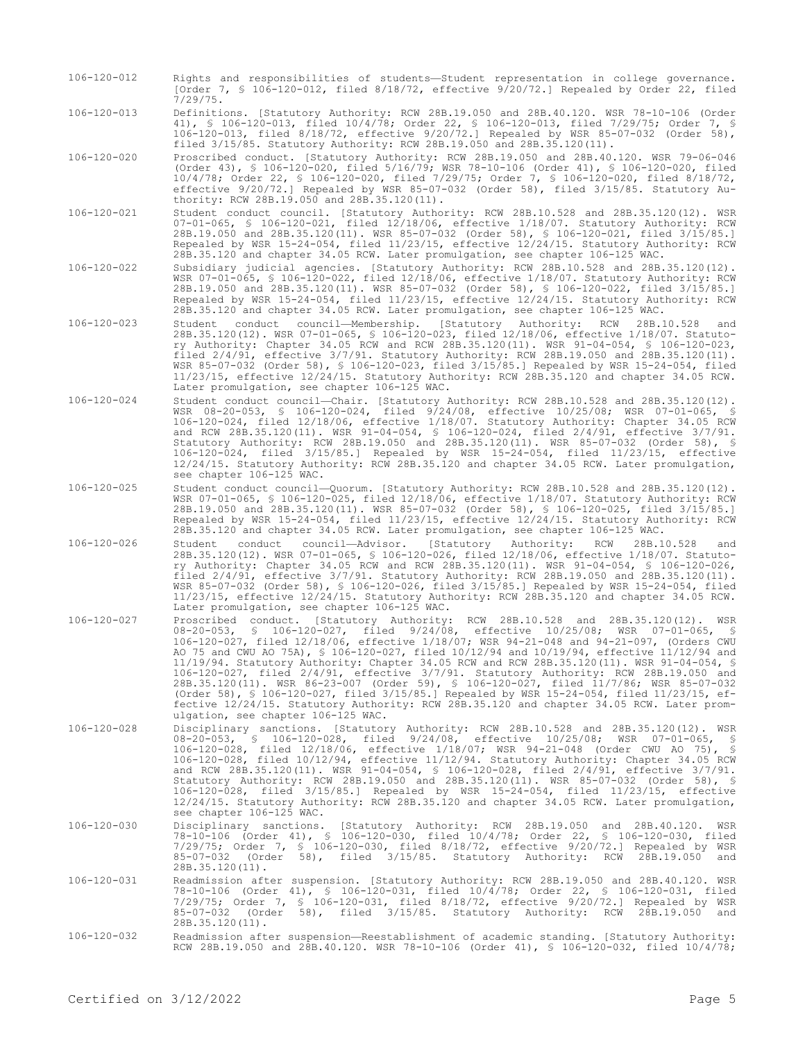106-120-012 Rights and responsibilities of students—Student representation in college governance. [Order 7, § 106-120-012, filed 8/18/72, effective 9/20/72.] Repealed by Order 22, filed 7/29/75.

106-120-013 Definitions. [Statutory Authority: RCW 28B.19.050 and 28B.40.120. WSR 78-10-106 (Order 41), § 106-120-013, filed 10/4/78; Order 22, § 106-120-013, filed 7/29/75; Order 7, § 106-120-013, filed 8/18/72, effective 9/20/72.] Repealed by WSR 85-07-032 (Order 58), filed 3/15/85. Statutory Authority: RCW 28B.19.050 and 28B.35.120(11).

106-120-020 Proscribed conduct. [Statutory Authority: RCW 28B.19.050 and 28B.40.120. WSR 79-06-046 (Order 43), § 106-120-020, filed 5/16/79; WSR 78-10-106 (Order 41), § 106-120-020, filed 10/4/78; Order 22, § 106-120-020, filed 7/29/75; Order 7, § 106-120-020, filed 8/18/72, effective 9/20/72.] Repealed by WSR 85-07-032 (Order 58), filed 3/15/85. Statutory Authority: RCW 28B.19.050 and 28B.35.120(11).

- 106-120-021 Student conduct council. [Statutory Authority: RCW 28B.10.528 and 28B.35.120(12). WSR 07-01-065, § 106-120-021, filed 12/18/06, effective 1/18/07. Statutory Authority: RCW 28B.19.050 and 28B.35.120(11). WSR 85-07-032 (Order 58), § 106-120-021, filed 3/15/85.] Repealed by WSR 15-24-054, filed 11/23/15, effective 12/24/15. Statutory Authority: RCW 28B.35.120 and chapter 34.05 RCW. Later promulgation, see chapter 106-125 WAC.
- 106-120-022 Subsidiary judicial agencies. [Statutory Authority: RCW 28B.10.528 and 28B.35.120(12). WSR 07-01-065, § 106-120-022, filed 12/18/06, effective 1/18/07. Statutory Authority: RCW 28B.19.050 and 28B.35.120(11). WSR 85-07-032 (Order 58), § 106-120-022, filed 3/15/85.] Repealed by WSR 15-24-054, filed 11/23/15, effective 12/24/15. Statutory Authority: RCW 28B.35.120 and chapter 34.05 RCW. Later promulgation, see chapter 106-125 WAC.
- 106-120-023 Student conduct council—Membership. [Statutory Authority: RCW 28B.10.528 and 28B.35.120(12). WSR 07-01-065, § 106-120-023, filed 12/18/06, effective 1/18/07. Statutory Authority: Chapter 34.05 RCW and RCW 28B.35.120(11). WSR 91-04-054, § 106-120-023, filed 2/4/91, effective 3/7/91. Statutory Authority: RCW 28B.19.050 and 28B.35.120(11). WSR 85-07-032 (Order 58), § 106-120-023, filed 3/15/85.] Repealed by WSR 15-24-054, filed 11/23/15, effective 12/24/15. Statutory Authority: RCW 28B.35.120 and chapter 34.05 RCW. Later promulgation, see chapter 106-125 WAC.
- 106-120-024 Student conduct council—Chair. [Statutory Authority: RCW 28B.10.528 and 28B.35.120(12). WSR 08-20-053, § 106-120-024, filed 9/24/08, effective 10/25/08; WSR 07-01-065, § 106-120-024, filed 12/18/06, effective 1/18/07. Statutory Authority: Chapter 34.05 RCW and RCW 28B.35.120(11). WSR 91-04-054, § 106-120-024, filed 2/4/91, effective 3/7/91. Statutory Authority: RCW 28B.19.050 and 28B.35.120(11). WSR 85-07-032 (Order 58), § 106-120-024, filed 3/15/85.] Repealed by WSR 15-24-054, filed 11/23/15, effective 12/24/15. Statutory Authority: RCW 28B.35.120 and chapter 34.05 RCW. Later promulgation, see chapter 106-125 WAC.
- 106-120-025 Student conduct council—Quorum. [Statutory Authority: RCW 28B.10.528 and 28B.35.120(12). WSR 07-01-065, § 106-120-025, filed 12/18/06, effective 1/18/07. Statutory Authority: RCW 28B.19.050 and 28B.35.120(11). WSR 85-07-032 (Order 58), § 106-120-025, filed 3/15/85.] Repealed by WSR 15-24-054, filed 11/23/15, effective 12/24/15. Statutory Authority: RCW 28B.35.120 and chapter 34.05 RCW. Later promulgation, see chapter 106-125 WAC.
- 106-120-026 Student conduct council—Advisor. [Statutory Authority: RCW 28B.10.528 and 28B.35.120(12). WSR 07-01-065, § 106-120-026, filed 12/18/06, effective 1/18/07. Statutory Authority: Chapter 34.05 RCW and RCW 28B.35.120(11). WSR 91-04-054, § 106-120-026, filed 2/4/91, effective 3/7/91. Statutory Authority: RCW 28B.19.050 and 28B.35.120(11). WSR 85-07-032 (Order 58), § 106-120-026, filed 3/15/85.] Repealed by WSR 15-24-054, filed 11/23/15, effective 12/24/15. Statutory Authority: RCW 28B.35.120 and chapter 34.05 RCW. Later promulgation, see chapter 106-125 WAC.
- 106-120-027 Proscribed conduct. [Statutory Authority: RCW 28B.10.528 and 28B.35.120(12). WSR 08-20-053, § 106-120-027, filed 9/24/08, effective 10/25/08; WSR 07-01-065, § 106-120-027, filed 12/18/06, effective 1/18/07; WSR 94-21-048 and 94-21-097, (Orders CWU AO 75 and CWU AO 75A), § 106-120-027, filed 10/12/94 and 10/19/94, effective 11/12/94 and 11/19/94. Statutory Authority: Chapter 34.05 RCW and RCW 28B.35.120(11). WSR 91-04-054, § 106-120-027, filed 2/4/91, effective 3/7/91. Statutory Authority: RCW 28B.19.050 and 28B.35.120(11). WSR 86-23-007 (Order 59), § 106-120-027, filed 11/7/86; WSR 85-07-032 (Order 58), § 106-120-027, filed 3/15/85.] Repealed by WSR 15-24-054, filed 11/23/15, effective 12/24/15. Statutory Authority: RCW 28B.35.120 and chapter 34.05 RCW. Later promulgation, see chapter 106-125 WAC.
- 106-120-028 Disciplinary sanctions. [Statutory Authority: RCW 28B.10.528 and 28B.35.120(12). WSR 08-20-053, § 106-120-028, filed 9/24/08, effective 10/25/08; WSR 07-01-065, § 106-120-028, filed 12/18/06, effective 1/18/07; WSR 94-21-048 (Order CWU AO 75), § 106-120-028, filed 10/12/94, effective 11/12/94. Statutory Authority: Chapter 34.05 RCW and RCW 28B.35.120(11). WSR 91-04-054, § 106-120-028, filed 2/4/91, effective 3/7/91. Statutory Authority: RCW 28B.19.050 and 28B.35.120(11). WSR 85-07-032 (Order 58), § 106-120-028, filed 3/15/85.] Repealed by WSR 15-24-054, filed 11/23/15, effective 12/24/15. Statutory Authority: RCW 28B.35.120 and chapter 34.05 RCW. Later promulgation, see chapter 106-125 WAC.
- 106-120-030 Disciplinary sanctions. [Statutory Authority: RCW 28B.19.050 and 28B.40.120. WSR 78-10-106 (Order 41), § 106-120-030, filed 10/4/78; Order 22, § 106-120-030, filed 7/29/75; Order 7, § 106-120-030, filed 8/18/72, effective 9/20/72.] Repealed by WSR 85-07-032 (Order 58), filed 3/15/85. Statutory Authority: RCW 28B.19.050 and 28B.35.120(11).
- 106-120-031 Readmission after suspension. [Statutory Authority: RCW 28B.19.050 and 28B.40.120. WSR 78-10-106 (Order 41), § 106-120-031, filed 10/4/78; Order 22, § 106-120-031, filed 7/29/75; Order 7, § 106-120-031, filed 8/18/72, effective 9/20/72.] Repealed by WSR 85-07-032 (Order 58), filed 3/15/85. Statutory Authority: RCW 28B.19.050 and 28B.35.120(11).
- 106-120-032 Readmission after suspension—Reestablishment of academic standing. [Statutory Authority: RCW 28B.19.050 and 28B.40.120. WSR 78-10-106 (Order 41), § 106-120-032, filed 10/4/78;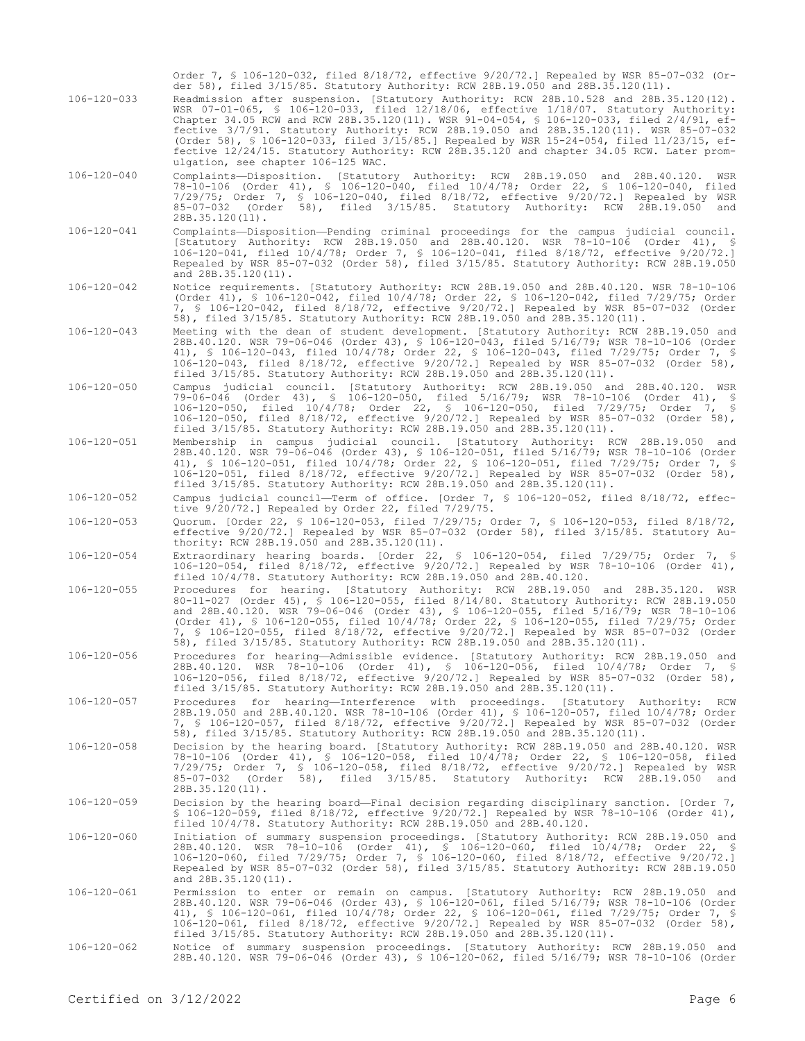| 106-120-033       | Order 7, § 106-120-032, filed 8/18/72, effective 9/20/72.] Repealed by WSR 85-07-032 (Or-<br>der 58), filed 3/15/85. Statutory Authority: RCW 28B.19.050 and 28B.35.120(11).<br>Readmission after suspension. [Statutory Authority: RCW 28B.10.528 and 28B.35.120(12).<br>WSR $07-01-065$ , § 106-120-033, filed 12/18/06, effective 1/18/07. Statutory Authority:<br>Chapter 34.05 RCW and RCW 28B.35.120(11). WSR 91-04-054, § 106-120-033, filed 2/4/91, ef-<br>fective 3/7/91. Statutory Authority: RCW 28B.19.050 and 28B.35.120(11). WSR 85-07-032<br>(Order 58), § 106-120-033, filed 3/15/85.] Repealed by WSR 15-24-054, filed 11/23/15, ef-<br>fective 12/24/15. Statutory Authority: RCW 28B.35.120 and chapter 34.05 RCW. Later prom-<br>ulgation, see chapter 106-125 WAC. |
|-------------------|-----------------------------------------------------------------------------------------------------------------------------------------------------------------------------------------------------------------------------------------------------------------------------------------------------------------------------------------------------------------------------------------------------------------------------------------------------------------------------------------------------------------------------------------------------------------------------------------------------------------------------------------------------------------------------------------------------------------------------------------------------------------------------------------|
| 106-120-040       | Complaints—Disposition. [Statutory Authority: RCW 28B.19.050 and 28B.40.120.<br>WSR<br>78-10-106 (Order 41), § 106-120-040, filed 10/4/78; Order 22, § 106-120-040, filed<br>7/29/75; Order 7, § 106-120-040, filed 8/18/72, effective 9/20/72.] Repealed by WSR<br>85-07-032 (Order 58), filed 3/15/85. Statutory Authority: RCW 28B.19.050 and<br>28B.35.120(11).                                                                                                                                                                                                                                                                                                                                                                                                                     |
| 106-120-041       | Complaints-Disposition-Pending criminal proceedings for the campus judicial council.<br>[Statutory Authority: RCW 28B.19.050 and 28B.40.120. WSR 78-10-106 (Order 41), \$<br>106-120-041, filed 10/4/78; Order 7, § 106-120-041, filed 8/18/72, effective 9/20/72.]<br>Repealed by WSR 85-07-032 (Order 58), filed 3/15/85. Statutory Authority: RCW 28B.19.050<br>and 28B.35.120(11).                                                                                                                                                                                                                                                                                                                                                                                                  |
| 106-120-042       | Notice requirements. [Statutory Authority: RCW 28B.19.050 and 28B.40.120. WSR 78-10-106<br>(Order 41), § 106-120-042, filed 10/4/78; Order 22, § 106-120-042, filed 7/29/75; Order<br>7, § 106-120-042, filed 8/18/72, effective 9/20/72.] Repealed by WSR 85-07-032 (Order<br>58), filed 3/15/85. Statutory Authority: RCW 28B.19.050 and 28B.35.120(11).                                                                                                                                                                                                                                                                                                                                                                                                                              |
| 106-120-043       | Meeting with the dean of student development. [Statutory Authority: RCW 28B.19.050 and<br>28B.40.120. WSR 79-06-046 (Order 43), § 106-120-043, filed 5/16/79; WSR 78-10-106 (Order<br>41), § 106-120-043, filed 10/4/78; Order 22, § 106-120-043, filed 7/29/75; Order 7, §<br>106-120-043, filed 8/18/72, effective 9/20/72.] Repealed by WSR 85-07-032 (Order 58),<br>filed 3/15/85. Statutory Authority: RCW 28B.19.050 and 28B.35.120(11).                                                                                                                                                                                                                                                                                                                                          |
| 106-120-050       | Campus judicial council. [Statutory Authority: RCW 28B.19.050 and 28B.40.120. WSR<br>79-06-046 (Order 43), § 106-120-050, filed 5/16/79; WSR 78-10-106 (Order 41), §<br>106-120-050, filed 10/4/78; Order 22, § 106-120-050, filed 7/29/75; Order 7, §<br>106-120-050, filed 8/18/72, effective 9/20/72.] Repealed by WSR 85-07-032 (Order 58),<br>filed 3/15/85. Statutory Authority: RCW 28B.19.050 and 28B.35.120(11).                                                                                                                                                                                                                                                                                                                                                               |
| 106-120-051       | Membership in campus judicial council. [Statutory Authority: RCW 28B.19.050 and<br>28B.40.120. WSR 79-06-046 (Order 43), § 106-120-051, filed 5/16/79; WSR 78-10-106 (Order<br>41), § 106-120-051, filed 10/4/78; Order 22, § 106-120-051, filed 7/29/75; Order 7, §<br>106-120-051, filed 8/18/72, effective 9/20/72.] Repealed by WSR 85-07-032 (Order 58),<br>filed 3/15/85. Statutory Authority: RCW 28B.19.050 and 28B.35.120(11).                                                                                                                                                                                                                                                                                                                                                 |
| 106-120-052       | Campus judicial council—Term of office. [Order 7, \$ 106-120-052, filed 8/18/72, effec-<br>tive 9/20/72.] Repealed by Order 22, filed 7/29/75.                                                                                                                                                                                                                                                                                                                                                                                                                                                                                                                                                                                                                                          |
| $106 - 120 - 053$ | Quorum. [Order 22, § 106-120-053, filed 7/29/75; Order 7, § 106-120-053, filed 8/18/72,<br>effective 9/20/72.] Repealed by WSR 85-07-032 (Order 58), filed 3/15/85. Statutory Au-<br>thority: RCW 28B.19.050 and 28B.35.120(11).                                                                                                                                                                                                                                                                                                                                                                                                                                                                                                                                                        |
| 106-120-054       | Extraordinary hearing boards. [Order 22, \$ 106-120-054, filed 7/29/75; Order 7, \$<br>106-120-054, filed 8/18/72, effective 9/20/72.] Repealed by WSR 78-10-106 (Order 41),<br>filed 10/4/78. Statutory Authority: RCW 28B.19.050 and 28B.40.120.                                                                                                                                                                                                                                                                                                                                                                                                                                                                                                                                      |
| 106-120-055       | Procedures for hearing. [Statutory Authority: RCW 28B.19.050 and 28B.35.120. WSR<br>80-11-027 (Order 45), § 106-120-055, filed 8/14/80. Statutory Authority: RCW 28B.19.050<br>and 28B.40.120. WSR 79-06-046 (Order 43), § 106-120-055, filed 5/16/79; WSR 78-10-106<br>(Order 41), § 106-120-055, filed 10/4/78; Order 22, § 106-120-055, filed 7/29/75; Order<br>7, § 106-120-055, filed 8/18/72, effective 9/20/72.] Repealed by WSR 85-07-032 (Order<br>58), filed 3/15/85. Statutory Authority: RCW 28B.19.050 and 28B.35.120(11).                                                                                                                                                                                                                                                 |
| 106-120-056       | Procedures for hearing-Admissible evidence. [Statutory Authority: RCW 28B.19.050 and<br>28B.40.120. WSR 78-10-106 (Order 41), § 106-120-056, filed 10/4/78; Order 7, §<br>106-120-056, filed 8/18/72, effective 9/20/72.] Repealed by WSR 85-07-032 (Order 58),<br>filed 3/15/85. Statutory Authority: RCW 28B.19.050 and 28B.35.120(11).                                                                                                                                                                                                                                                                                                                                                                                                                                               |
| 106-120-057       | Procedures for hearing-Interference with proceedings. [Statutory Authority:<br>RCW<br>28B.19.050 and 28B.40.120. WSR 78-10-106 (Order 41), § 106-120-057, filed 10/4/78; Order<br>7, § 106-120-057, filed 8/18/72, effective 9/20/72.] Repealed by WSR 85-07-032 (Order<br>58), filed 3/15/85. Statutory Authority: RCW 28B.19.050 and 28B.35.120(11).                                                                                                                                                                                                                                                                                                                                                                                                                                  |
| 106-120-058       | Decision by the hearing board. [Statutory Authority: RCW 28B.19.050 and 28B.40.120. WSR<br>78-10-106 (Order 41), § 106-120-058, filed 10/4/78; Order 22, § 106-120-058, filed<br>7/29/75; Order 7, § 106-120-058, filed 8/18/72, effective 9/20/72.] Repealed by WSR<br>(Order 58), filed 3/15/85. Statutory Authority: RCW 28B.19.050 and<br>85-07-032<br>$28B.35.120(11)$ .                                                                                                                                                                                                                                                                                                                                                                                                           |
| $106 - 120 - 059$ | Decision by the hearing board—Final decision regarding disciplinary sanction. [Order 7,<br>\$ 106-120-059, filed $8/18/72$ , effective $9/20/72$ .] Repealed by WSR 78-10-106 (Order 41),<br>filed 10/4/78. Statutory Authority: RCW 28B.19.050 and 28B.40.120.                                                                                                                                                                                                                                                                                                                                                                                                                                                                                                                         |
| 106-120-060       | Initiation of summary suspension proceedings. [Statutory Authority: RCW 28B.19.050 and<br>28B.40.120. WSR 78-10-106 (Order 41), \$ 106-120-060, filed 10/4/78; Order 22, \$<br>106-120-060, filed 7/29/75; Order 7, § 106-120-060, filed 8/18/72, effective 9/20/72.]<br>Repealed by WSR 85-07-032 (Order 58), filed 3/15/85. Statutory Authority: RCW 28B.19.050<br>and 28B.35.120(11).                                                                                                                                                                                                                                                                                                                                                                                                |
| 106-120-061       | Permission to enter or remain on campus. [Statutory Authority: RCW 28B.19.050 and<br>28B.40.120. WSR 79-06-046 (Order 43), § 106-120-061, filed 5/16/79; WSR 78-10-106 (Order<br>41), § 106-120-061, filed 10/4/78; Order 22, § 106-120-061, filed 7/29/75; Order 7, §<br>106-120-061, filed 8/18/72, effective 9/20/72.] Repealed by WSR 85-07-032 (Order 58),<br>filed 3/15/85. Statutory Authority: RCW 28B.19.050 and 28B.35.120(11).                                                                                                                                                                                                                                                                                                                                               |
| 106-120-062       | Notice of summary suspension proceedings. [Statutory Authority: RCW 28B.19.050 and<br>28B.40.120. WSR 79-06-046 (Order 43), § 106-120-062, filed 5/16/79; WSR 78-10-106 (Order                                                                                                                                                                                                                                                                                                                                                                                                                                                                                                                                                                                                          |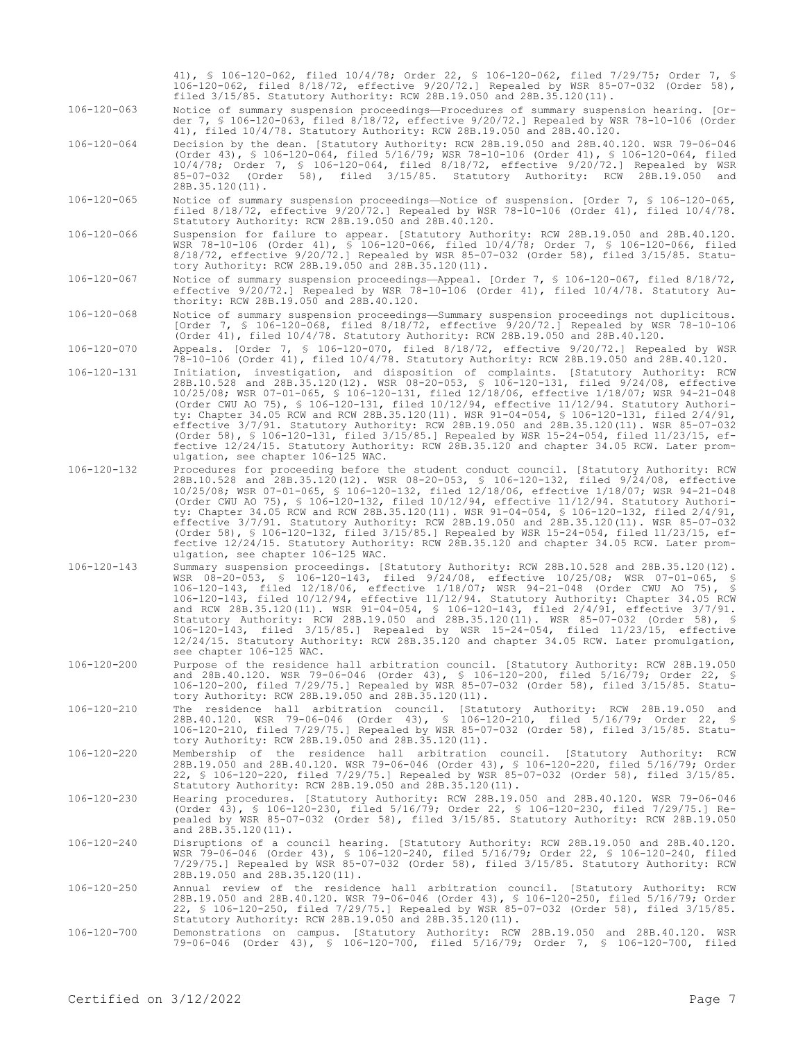|                          | 41), filed 10/4/78. Statutory Authority: RCW 28B.19.050 and 28B.40.120.                                                                                                                                                                                                                                                                                                                                                                                                                                                                                                                                                                                                                                                                                                                               |
|--------------------------|-------------------------------------------------------------------------------------------------------------------------------------------------------------------------------------------------------------------------------------------------------------------------------------------------------------------------------------------------------------------------------------------------------------------------------------------------------------------------------------------------------------------------------------------------------------------------------------------------------------------------------------------------------------------------------------------------------------------------------------------------------------------------------------------------------|
| 106-120-064              | Decision by the dean. [Statutory Authority: RCW 28B.19.050 and 28B.40.120. WSR 79-06-046<br>(Order 43), § 106-120-064, filed 5/16/79; WSR 78-10-106 (Order 41), § 106-120-064, filed<br>10/4/78; Order 7, § 106-120-064, filed 8/18/72, effective 9/20/72.] Repealed by WSR<br>85-07-032 (Order 58), filed 3/15/85. Statutory Authority: RCW 28B.19.050 and<br>28B.35.120(11).                                                                                                                                                                                                                                                                                                                                                                                                                        |
| 106-120-065              | Notice of summary suspension proceedings—Notice of suspension. [Order 7, § 106-120-065,<br>filed $8/18/72$ , effective $9/20/72$ . Repealed by WSR 78-10-106 (Order 41), filed $10/4/78$ .<br>Statutory Authority: RCW 28B.19.050 and 28B.40.120.                                                                                                                                                                                                                                                                                                                                                                                                                                                                                                                                                     |
| 106-120-066              | Suspension for failure to appear. [Statutory Authority: RCW 28B.19.050 and 28B.40.120.<br>WSR 78-10-106 (Order 41), § 106-120-066, filed 10/4/78; Order 7, § 106-120-066, filed<br>8/18/72, effective 9/20/72.] Repealed by WSR 85-07-032 (Order 58), filed 3/15/85. Statu-<br>tory Authority: RCW 28B.19.050 and 28B.35.120(11).                                                                                                                                                                                                                                                                                                                                                                                                                                                                     |
| 106-120-067              | Notice of summary suspension proceedings—Appeal. [Order 7, § 106-120-067, filed 8/18/72,<br>effective 9/20/72.] Repealed by WSR 78-10-106 (Order 41), filed 10/4/78. Statutory Au-<br>thority: RCW 28B.19.050 and 28B.40.120.                                                                                                                                                                                                                                                                                                                                                                                                                                                                                                                                                                         |
| 106-120-068              | Notice of summary suspension proceedings—Summary suspension proceedings not duplicitous.<br>[Order 7, § 106-120-068, filed 8/18/72, effective 9/20/72.] Repealed by WSR 78-10-106<br>(Order 41), filed $10/4/78$ . Statutory Authority: RCW 28B.19.050 and 28B.40.120.                                                                                                                                                                                                                                                                                                                                                                                                                                                                                                                                |
| 106-120-070              | Appeals. [Order 7, § 106-120-070, filed 8/18/72, effective 9/20/72.] Repealed by WSR<br>78-10-106 (Order 41), filed 10/4/78. Statutory Authority: RCW 28B.19.050 and 28B.40.120.                                                                                                                                                                                                                                                                                                                                                                                                                                                                                                                                                                                                                      |
| 106-120-131              | Initiation, investigation, and disposition of complaints. [Statutory Authority: RCW<br>28B.10.528 and 28B.35.120(12). WSR 08-20-053, § 106-120-131, filed 9/24/08, effective<br>10/25/08; WSR 07-01-065, § 106-120-131, filed 12/18/06, effective 1/18/07; WSR 94-21-048<br>(Order CWU AO 75), § 106-120-131, filed $10/12/94$ , effective $11/12/94$ . Statutory Authori-<br>ty: Chapter 34.05 RCW and RCW 28B.35.120(11). WSR 91-04-054, § 106-120-131, filed 2/4/91,<br>effective 3/7/91. Statutory Authority: RCW 28B.19.050 and 28B.35.120(11). WSR 85-07-032<br>(Order 58), § 106-120-131, filed 3/15/85.] Repealed by WSR 15-24-054, filed 11/23/15, ef-<br>fective 12/24/15. Statutory Authority: RCW 28B.35.120 and chapter 34.05 RCW. Later prom-<br>ulgation, see chapter 106-125 WAC.     |
| 106-120-132              | Procedures for proceeding before the student conduct council. [Statutory Authority: RCW<br>28B.10.528 and 28B.35.120(12). WSR 08-20-053, § 106-120-132, filed 9/24/08, effective<br>10/25/08; WSR 07-01-065, § 106-120-132, filed 12/18/06, effective 1/18/07; WSR 94-21-048<br>(Order CWU AO 75), § 106-120-132, filed $10/12/94$ , effective $11/12/94$ . Statutory Authori-<br>ty: Chapter 34.05 RCW and RCW 28B.35.120(11). WSR 91-04-054, § 106-120-132, filed 2/4/91,<br>effective 3/7/91. Statutory Authority: RCW 28B.19.050 and 28B.35.120(11). WSR 85-07-032<br>(Order 58), § 106-120-132, filed 3/15/85.] Repealed by WSR 15-24-054, filed 11/23/15, ef-<br>fective 12/24/15. Statutory Authority: RCW 28B.35.120 and chapter 34.05 RCW. Later prom-<br>ulgation, see chapter 106-125 WAC. |
| 106-120-143              | Summary suspension proceedings. [Statutory Authority: RCW 28B.10.528 and 28B.35.120(12).<br>WSR 08-20-053, § 106-120-143, filed 9/24/08, effective 10/25/08; WSR 07-01-065, §<br>106-120-143, filed 12/18/06, effective 1/18/07; WSR 94-21-048 (Order CWU AO 75), §<br>106-120-143, filed 10/12/94, effective 11/12/94. Statutory Authority: Chapter 34.05 RCW<br>and RCW 28B.35.120(11). WSR 91-04-054, \$ 106-120-143, filed 2/4/91, effective 3/7/91.<br>Statutory Authority: RCW 28B.19.050 and 28B.35.120(11). WSR 85-07-032 (Order 58), §<br>106-120-143, filed 3/15/85.] Repealed by WSR 15-24-054, filed 11/23/15, effective<br>12/24/15. Statutory Authority: RCW 28B.35.120 and chapter 34.05 RCW. Later promulgation,<br>see chapter 106-125 WAC.                                          |
| 106-120-200              | Purpose of the residence hall arbitration council. [Statutory Authority: RCW 28B.19.050<br>and 28B.40.120. WSR 79-06-046 (Order 43), § 106-120-200, filed 5/16/79; Order 22, §<br>106-120-200, filed 7/29/75.] Repealed by WSR 85-07-032 (Order 58), filed 3/15/85. Statu-<br>tory Authority: RCW 28B.19.050 and 28B.35.120(11).                                                                                                                                                                                                                                                                                                                                                                                                                                                                      |
| 106-120-210              | The residence hall arbitration council. [Statutory Authority: RCW 28B.19.050 and<br>28B.40.120. WSR 79-06-046 (Order 43), § 106-120-210, filed 5/16/79; Order 22, §<br>106-120-210, filed 7/29/75.] Repealed by WSR 85-07-032 (Order 58), filed 3/15/85. Statu-<br>tory Authority: RCW 28B.19.050 and 28B.35.120(11).                                                                                                                                                                                                                                                                                                                                                                                                                                                                                 |
| 106-120-220              | Membership of the residence hall arbitration council. [Statutory Authority: RCW<br>28B.19.050 and 28B.40.120. WSR 79-06-046 (Order 43), § 106-120-220, filed 5/16/79; Order<br>22, § 106-120-220, filed 7/29/75.] Repealed by WSR 85-07-032 (Order 58), filed 3/15/85.<br>Statutory Authority: RCW 28B.19.050 and 28B.35.120(11).                                                                                                                                                                                                                                                                                                                                                                                                                                                                     |
| 106-120-230              | Hearing procedures. [Statutory Authority: RCW 28B.19.050 and 28B.40.120. WSR 79-06-046<br>(Order 43), § 106-120-230, filed 5/16/79; Order 22, § 106-120-230, filed 7/29/75.] Re-<br>pealed by WSR 85-07-032 (Order 58), filed 3/15/85. Statutory Authority: RCW 28B.19.050<br>and 28B.35.120(11).                                                                                                                                                                                                                                                                                                                                                                                                                                                                                                     |
| 106-120-240              | Disruptions of a council hearing. [Statutory Authority: RCW 28B.19.050 and 28B.40.120.<br>WSR 79-06-046 (Order 43), § 106-120-240, filed 5/16/79; Order 22, § 106-120-240, filed<br>7/29/75.] Repealed by WSR 85-07-032 (Order 58), filed 3/15/85. Statutory Authority: RCW<br>28B.19.050 and 28B.35.120(11).                                                                                                                                                                                                                                                                                                                                                                                                                                                                                         |
| 106-120-250              | Annual review of the residence hall arbitration council. [Statutory Authority: RCW<br>28B.19.050 and 28B.40.120. WSR 79-06-046 (Order 43), § 106-120-250, filed 5/16/79; Order<br>22, § 106-120-250, filed 7/29/75.] Repealed by WSR 85-07-032 (Order 58), filed 3/15/85.<br>Statutory Authority: RCW 28B.19.050 and 28B.35.120(11).                                                                                                                                                                                                                                                                                                                                                                                                                                                                  |
| 106-120-700              | Demonstrations on campus. [Statutory Authority: RCW 28B.19.050 and 28B.40.120. WSR<br>79-06-046 (Order 43), § 106-120-700, filed 5/16/79; Order 7, § 106-120-700, filed                                                                                                                                                                                                                                                                                                                                                                                                                                                                                                                                                                                                                               |
|                          |                                                                                                                                                                                                                                                                                                                                                                                                                                                                                                                                                                                                                                                                                                                                                                                                       |
| Certified on $3/12/2022$ | Page 7                                                                                                                                                                                                                                                                                                                                                                                                                                                                                                                                                                                                                                                                                                                                                                                                |

41), § 106-120-062, filed 10/4/78; Order 22, § 106-120-062, filed 7/29/75; Order 7, § 106-120-062, filed 8/18/72, effective 9/20/72.] Repealed by WSR 85-07-032 (Order 58),

der 7, § 106-120-063, filed 8/18/72, effective 9/20/72.] Repealed by WSR 78-10-106 (Order

filed 3/15/85. Statutory Authority: RCW 28B.19.050 and 28B.35.120(11). 106-120-063 Notice of summary suspension proceedings—Procedures of summary suspension hearing. [Or-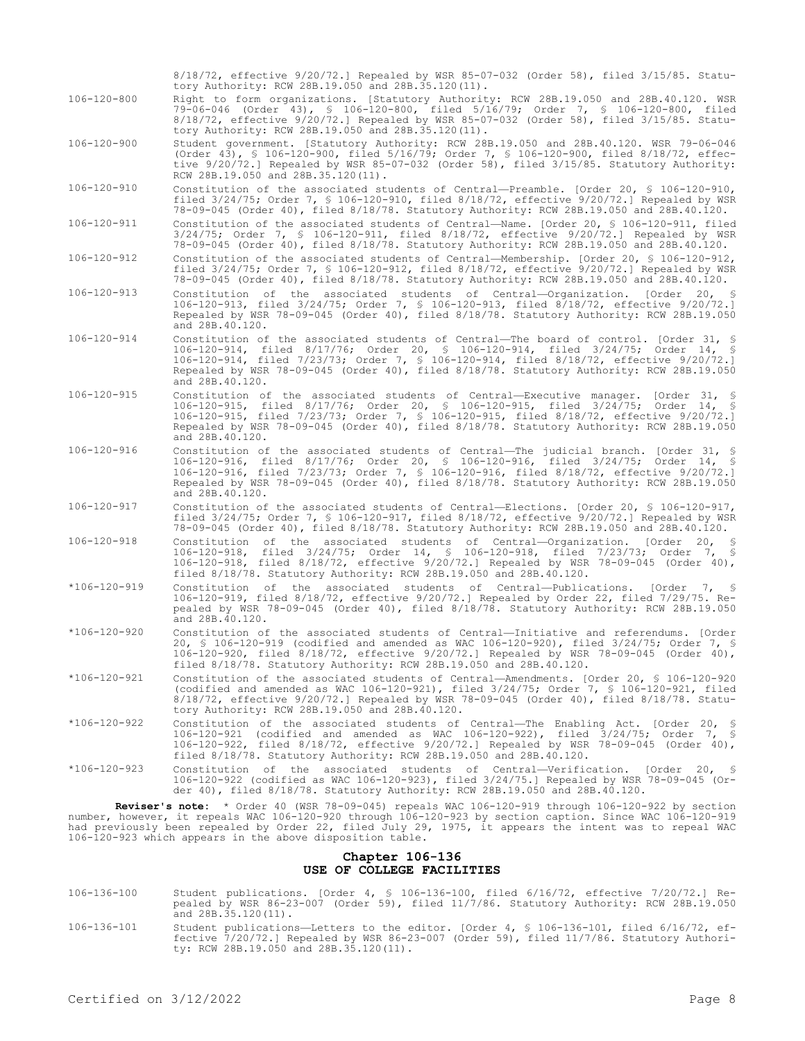106-120-900 Student government. [Statutory Authority: RCW 28B.19.050 and 28B.40.120. WSR 79-06-046 (Order 43), § 106-120-900, filed 5/16/79; Order 7, § 106-120-900, filed 8/18/72, effective 9/20/72.] Repealed by WSR 85-07-032 (Order 58), filed 3/15/85. Statutory Authority: RCW 28B.19.050 and 28B.35.120(11). 106-120-910 Constitution of the associated students of Central—Preamble. [Order 20, § 106-120-910, filed 3/24/75; Order 7, § 106-120-910, filed 8/18/72, effective 9/20/72.] Repealed by WSR 78-09-045 (Order 40), filed 8/18/78. Statutory Authority: RCW 28B.19.050 and 28B.40.120. 106-120-911 Constitution of the associated students of Central—Name. [Order 20, § 106-120-911, filed 3/24/75; Order 7, § 106-120-911, filed 8/18/72, effective 9/20/72.] Repealed by WSR 78-09-045 (Order 40), filed 8/18/78. Statutory Authority: RCW 28B.19.050 and 28B.40.120. 106-120-912 Constitution of the associated students of Central—Membership. [Order 20, § 106-120-912, filed 3/24/75; Order 7, § 106-120-912, filed 8/18/72, effective 9/20/72.] Repealed by WSR 78-09-045 (Order 40), filed 8/18/78. Statutory Authority: RCW 28B.19.050 and 28B.40.120. 106-120-913 Constitution of the associated students of Central—Organization. [Order 20, § 106-120-913, filed 3/24/75; Order 7, § 106-120-913, filed 8/18/72, effective 9/20/72.] Repealed by WSR 78-09-045 (Order 40), filed 8/18/78. Statutory Authority: RCW 28B.19.050 and 28B.40.120. 106-120-914 Constitution of the associated students of Central—The board of control. [Order 31, § 106-120-914, filed 8/17/76; Order 20, § 106-120-914, filed 3/24/75; Order 14, § 106-120-914, filed 7/23/73; Order 7, § 106-120-914, filed 8/18/72, effective 9/20/72.] Repealed by WSR 78-09-045 (Order 40), filed 8/18/78. Statutory Authority: RCW 28B.19.050 and 28B.40.120. 106-120-915 Constitution of the associated students of Central—Executive manager. [Order 31, § 106-120-915, filed 8/17/76; Order 20, § 106-120-915, filed 3/24/75; Order 14, § 106-120-915, filed 7/23/73; Order 7, § 106-120-915, filed 8/18/72, effective 9/20/72.] Repealed by WSR 78-09-045 (Order 40), filed 8/18/78. Statutory Authority: RCW 28B.19.050 and 28B.40.120. 106-120-916 Constitution of the associated students of Central—The judicial branch. [Order 31, § 106-120-916, filed 8/17/76; Order 20, § 106-120-916, filed 3/24/75; Order 14, § 106-120-916, filed 7/23/73; Order 7, § 106-120-916, filed 8/18/72, effective 9/20/72.] Repealed by WSR 78-09-045 (Order 40), filed 8/18/78. Statutory Authority: RCW 28B.19.050 and 28B.40.120. 106-120-917 Constitution of the associated students of Central—Elections. [Order 20, § 106-120-917, filed 3/24/75; Order 7, § 106-120-917, filed 8/18/72, effective 9/20/72.] Repealed by WSR 78-09-045 (Order 40), filed 8/18/78. Statutory Authority: RCW 28B.19.050 and 28B.40.120.<br>Constitution of the associated students of Central-Organization. [Order 20, § 106-120-918 Constitution of the associated students of Central—Organization. [Order 20, § 106-120-918, filed 3/24/75; Order 14, § 106-120-918, filed 7/23/73; Order 7, § 106-120-918, filed 8/18/72, effective 9/20/72.] Repealed by WSR 78-09-045 (Order 40), filed 8/18/78. Statutory Authority: RCW 28B.19.050 and 28B.40.120. \*106-120-919 Constitution of the associated students of Central—Publications. [Order 7, § 106-120-919, filed 8/18/72, effective 9/20/72.] Repealed by Order 22, filed 7/29/75. Repealed by WSR 78-09-045 (Order 40), filed 8/18/78. Statutory Authority: RCW 28B.19.050 and 28B.40.120. \*106-120-920 Constitution of the associated students of Central—Initiative and referendums. [Order 20, § 106-120-919 (codified and amended as WAC 106-120-920), filed 3/24/75; Order 7, § 106-120-920, filed 8/18/72, effective 9/20/72.] Repealed by WSR 78-09-045 (Order 40), filed 8/18/78. Statutory Authority: RCW 28B.19.050 and 28B.40.120. \*106-120-921 Constitution of the associated students of Central—Amendments. [Order 20, § 106-120-920 (codified and amended as WAC 106-120-921), filed 3/24/75; Order 7, § 106-120-921, filed 8/18/72, effective 9/20/72.] Repealed by WSR 78-09-045 (Order 40), filed 8/18/78. Statutory Authority: RCW 28B.19.050 and 28B.40.120. \*106-120-922 Constitution of the associated students of Central—The Enabling Act. [Order 20, § 106-120-921 (codified and amended as WAC 106-120-922), filed 3/24/75; Order 7, § 106-120-922, filed 8/18/72, effective 9/20/72.] Repealed by WSR 78-09-045 (Order 40), filed 8/18/78. Statutory Authority: RCW 28B.19.050 and 28B.40.120. \*106-120-923 Constitution of the associated students of Central—Verification. [Order 20, § 106-120-922 (codified as WAC 106-120-923), filed 3/24/75.] Repealed by WSR 78-09-045 (Order 40), filed 8/18/78. Statutory Authority: RCW 28B.19.050 and 28B.40.120. **Reviser's note:** \* Order 40 (WSR 78-09-045) repeals WAC 106-120-919 through 106-120-922 by section number, however, it repeals WAC 106-120-920 through 106-120-923 by section caption. Since WAC 106-120-919 had previously been repealed by Order 22, filed July 29, 1975, it appears the intent was to repeal WAC

8/18/72, effective 9/20/72.] Repealed by WSR 85-07-032 (Order 58), filed 3/15/85. Statu-

79-06-046 (Order 43), § 106-120-800, filed 5/16/79; Order 7, § 106-120-800, filed 8/18/72, effective 9/20/72.] Repealed by WSR 85-07-032 (Order 58), filed 3/15/85. Statu-

106-120-800 Right to form organizations. [Statutory Authority: RCW 28B.19.050 and 28B.40.120. WSR

tory Authority: RCW 28B.19.050 and 28B.35.120(11).

tory Authority: RCW 28B.19.050 and 28B.35.120(11).

#### **Chapter 106-136 USE OF COLLEGE FACILITIES**

- 106-136-100 Student publications. [Order 4, § 106-136-100, filed 6/16/72, effective 7/20/72.] Re-pealed by WSR 86-23-007 (Order 59), filed 11/7/86. Statutory Authority: RCW 28B.19.050 and 28B.35.120(11).
- 106-136-101 Student publications—Letters to the editor. [Order 4, § 106-136-101, filed 6/16/72, effective 7/20/72.] Repealed by WSR 86-23-007 (Order 59), filed 11/7/86. Statutory Authority: RCW 28B.19.050 and 28B.35.120(11).

106-120-923 which appears in the above disposition table.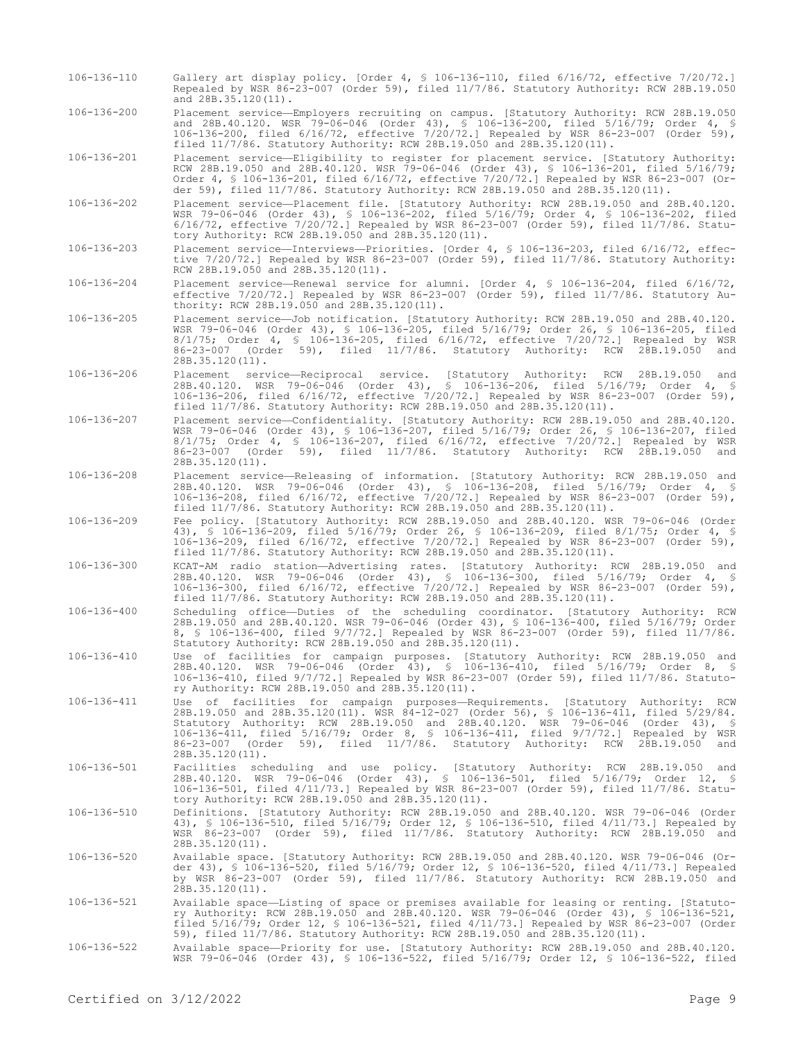- 106-136-110 Gallery art display policy. [Order 4, § 106-136-110, filed 6/16/72, effective 7/20/72.] Repealed by WSR 86-23-007 (Order 59), filed 11/7/86. Statutory Authority: RCW 28B.19.050 and 28B.35.120(11).
- 106-136-200 Placement service—Employers recruiting on campus. [Statutory Authority: RCW 28B.19.050 and 28B.40.120. WSR 79-06-046 (Order 43), § 106-136-200, filed 5/16/79; Order 4, § 106-136-200, filed 6/16/72, effective 7/20/72.] Repealed by WSR 86-23-007 (Order 59), filed 11/7/86. Statutory Authority: RCW 28B.19.050 and 28B.35.120(11).

106-136-201 Placement service—Eligibility to register for placement service. [Statutory Authority: RCW 28B.19.050 and 28B.40.120. WSR 79-06-046 (Order 43), § 106-136-201, filed 5/16/79; Order 4, § 106-136-201, filed 6/16/72, effective 7/20/72.] Repealed by WSR 86-23-007 (Order 59), filed 11/7/86. Statutory Authority: RCW 28B.19.050 and 28B.35.120(11).

106-136-202 Placement service—Placement file. [Statutory Authority: RCW 28B.19.050 and 28B.40.120. WSR 79-06-046 (Order 43), § 106-136-202, filed 5/16/79; Order 4, § 106-136-202, filed 6/16/72, effective 7/20/72.] Repealed by WSR 86-23-007 (Order 59), filed 11/7/86. Statutory Authority: RCW 28B.19.050 and 28B.35.120(11).

106-136-203 Placement service—Interviews—Priorities. [Order 4, § 106-136-203, filed 6/16/72, effective 7/20/72.] Repealed by WSR 86-23-007 (Order 59), filed 11/7/86. Statutory Authority: RCW 28B.19.050 and 28B.35.120(11).

106-136-204 Placement service—Renewal service for alumni. [Order 4, § 106-136-204, filed 6/16/72, effective 7/20/72.] Repealed by WSR 86-23-007 (Order 59), filed 11/7/86. Statutory Authority: RCW 28B.19.050 and 28B.35.120(11).

106-136-205 Placement service—Job notification. [Statutory Authority: RCW 28B.19.050 and 28B.40.120. WSR 79-06-046 (Order 43), § 106-136-205, filed 5/16/79; Order 26, § 106-136-205, filed 8/1/75; Order 4, § 106-136-205, filed 6/16/72, effective 7/20/72.] Repealed by WSR 86-23-007 (Order 59), filed 11/7/86. Statutory Authority: RCW 28B.19.050 and 28B.35.120(11).

- 106-136-206 Placement service—Reciprocal service. [Statutory Authority: RCW 28B.19.050 and 28B.40.120. WSR 79-06-046 (Order 43), § 106-136-206, filed 5/16/79; Order 4, § 106-136-206, filed 6/16/72, effective 7/20/72.] Repealed by WSR 86-23-007 (Order 59), filed 11/7/86. Statutory Authority: RCW 28B.19.050 and 28B.35.120(11).
- 106-136-207 Placement service—Confidentiality. [Statutory Authority: RCW 28B.19.050 and 28B.40.120. WSR 79-06-046 (Order 43), § 106-136-207, filed 5/16/79; Order 26, § 106-136-207, filed 8/1/75; Order 4, § 106-136-207, filed 6/16/72, effective 7/20/72.] Repealed by WSR 86-23-007 (Order 59), filed 11/7/86. Statutory Authority: RCW 28B.19.050 and 28B.35.120(11).
- 106-136-208 Placement service—Releasing of information. [Statutory Authority: RCW 28B.19.050 and 28B.40.120. WSR 79-06-046 (Order 43), § 106-136-208, filed 5/16/79; Order 4, § 106-136-208, filed 6/16/72, effective 7/20/72.] Repealed by WSR 86-23-007 (Order 59), filed 11/7/86. Statutory Authority: RCW 28B.19.050 and 28B.35.120(11).
- 106-136-209 Fee policy. [Statutory Authority: RCW 28B.19.050 and 28B.40.120. WSR 79-06-046 (Order 43), § 106-136-209, filed 5/16/79; Order 26, § 106-136-209, filed 8/1/75; Order 4, § 106-136-209, filed 6/16/72, effective 7/20/72.] Repealed by WSR 86-23-007 (Order 59), filed 11/7/86. Statutory Authority: RCW 28B.19.050 and 28B.35.120(11).
- 106-136-300 KCAT-AM radio station—Advertising rates. [Statutory Authority: RCW 28B.19.050 and 28B.40.120. WSR 79-06-046 (Order 43), § 106-136-300, filed 5/16/79; Order 4, § 106-136-300, filed 6/16/72, effective 7/20/72.] Repealed by WSR 86-23-007 (Order 59), filed 11/7/86. Statutory Authority: RCW 28B.19.050 and 28B.35.120(11).
- 106-136-400 Scheduling office—Duties of the scheduling coordinator. [Statutory Authority: RCW 28B.19.050 and 28B.40.120. WSR 79-06-046 (Order 43), § 106-136-400, filed 5/16/79; Order 8, § 106-136-400, filed 9/7/72.] Repealed by WSR 86-23-007 (Order 59), filed 11/7/86. Statutory Authority: RCW 28B.19.050 and 28B.35.120(11).
- 106-136-410 Use of facilities for campaign purposes. [Statutory Authority: RCW 28B.19.050 and 28B.40.120. WSR 79-06-046 (Order 43), § 106-136-410, filed 5/16/79; Order 8, § 106-136-410, filed 9/7/72.] Repealed by WSR 86-23-007 (Order 59), filed 11/7/86. Statutory Authority: RCW 28B.19.050 and 28B.35.120(11).
- 106-136-411 Use of facilities for campaign purposes—Requirements. [Statutory Authority: RCW 28B.19.050 and 28B.35.120(11). WSR 84-12-027 (Order 56), § 106-136-411, filed 5/29/84. Statutory Authority: RCW 28B.19.050 and 28B.40.120. WSR 79-06-046 (Order 43), § 106-136-411, filed 5/16/79; Order 8, § 106-136-411, filed 9/7/72.] Repealed by WSR 86-23-007 (Order 59), filed 11/7/86. Statutory Authority: RCW 28B.19.050 and 28B.35.120(11).
- 106-136-501 Facilities scheduling and use policy. [Statutory Authority: RCW 28B.19.050 and 28B.40.120. WSR 79-06-046 (Order 43), § 106-136-501, filed 5/16/79; Order 12, § 106-136-501, filed 4/11/73.] Repealed by WSR 86-23-007 (Order 59), filed 11/7/86. Statutory Authority: RCW 28B.19.050 and 28B.35.120(11).
- 106-136-510 Definitions. [Statutory Authority: RCW 28B.19.050 and 28B.40.120. WSR 79-06-046 (Order 43), § 106-136-510, filed 5/16/79; Order 12, § 106-136-510, filed 4/11/73.] Repealed by WSR 86-23-007 (Order 59), filed 11/7/86. Statutory Authority: RCW 28B.19.050 and 28B.35.120(11).
- -106-136-520 Available space. [Statutory Authority: RCW 28B.19.050 and 28B.40.120. WSR 79-06-046 (Or<br>der 43), § 106-136-520, filed 5/16/79; Order 12, § 106-136-520, filed 4/11/73.] Repealed<br>by WSR 86-23-007 (Order 59), fil 28B.35.120(11).
- 106-136-521 Available space—Listing of space or premises available for leasing or renting. [Statutory Authority: RCW 28B.19.050 and 28B.40.120. WSR 79-06-046 (Order 43), § 106-136-521, filed 5/16/79; Order 12, § 106-136-521, filed 4/11/73.] Repealed by WSR 86-23-007 (Order 59), filed 11/7/86. Statutory Authority: RCW 28B.19.050 and 28B.35.120(11).
- 106-136-522 Available space—Priority for use. [Statutory Authority: RCW 28B.19.050 and 28B.40.120. WSR 79-06-046 (Order 43), § 106-136-522, filed 5/16/79; Order 12, § 106-136-522, filed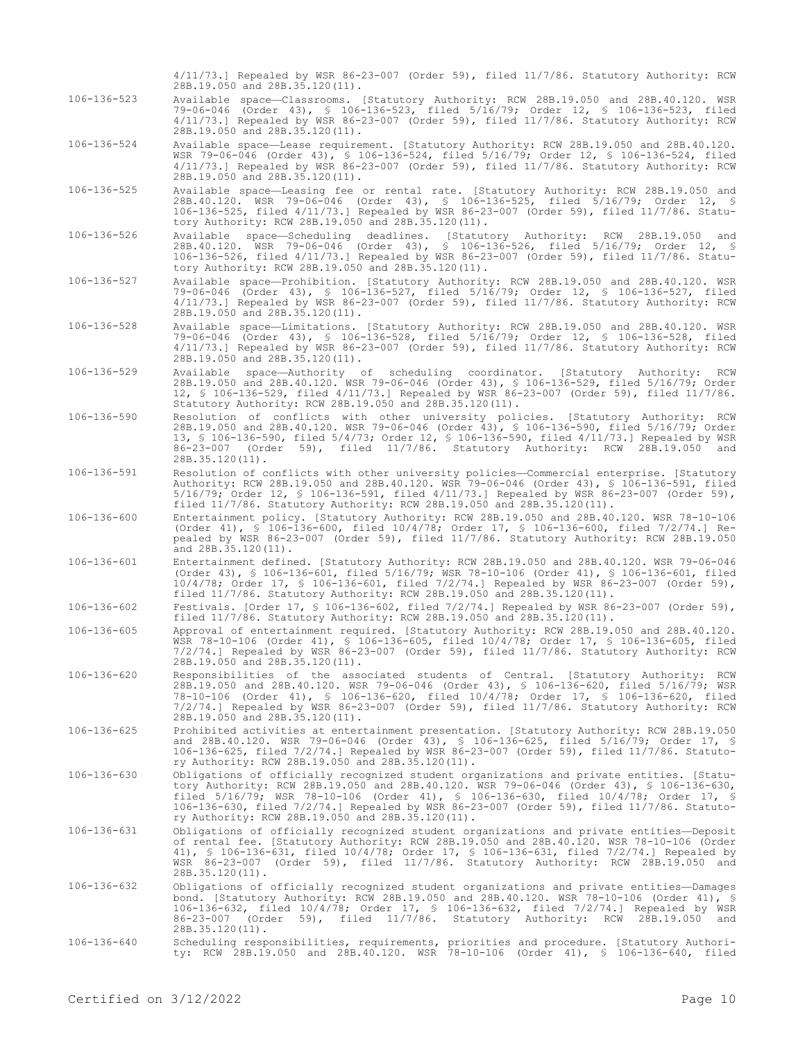4/11/73.] Repealed by WSR 86-23-007 (Order 59), filed 11/7/86. Statutory Authority: RCW 28B.19.050 and 28B.35.120(11).

106-136-523 Available space—Classrooms. [Statutory Authority: RCW 28B.19.050 and 28B.40.120. WSR 79-06-046 (Order 43), § 106-136-523, filed 5/16/79; Order 12, § 106-136-523, filed 4/11/73.] Repealed by WSR 86-23-007 (Order 59), filed 11/7/86. Statutory Authority: RCW 28B.19.050 and 28B.35.120(11).

106-136-524 Available space—Lease requirement. [Statutory Authority: RCW 28B.19.050 and 28B.40.120. WSR 79-06-046 (Order 43), § 106-136-524, filed 5/16/79; Order 12, § 106-136-524, filed 4/11/73.] Repealed by WSR 86-23-007 (Order 59), filed 11/7/86. Statutory Authority: RCW 28B.19.050 and 28B.35.120(11).

- 106-136-525 Available space—Leasing fee or rental rate. [Statutory Authority: RCW 28B.19.050 and 28B.40.120. WSR 79-06-046 (Order 43), § 106-136-525, filed 5/16/79; Order 12, § 106-136-525, filed 4/11/73.] Repealed by WSR 86-23-007 (Order 59), filed 11/7/86. Statutory Authority: RCW 28B.19.050 and 28B.35.120(11).
- 106-136-526 Available space—Scheduling deadlines. [Statutory Authority: RCW 28B.19.050 and 28B.40.120. WSR 79-06-046 (Order 43), § 106-136-526, filed 5/16/79; Order 12, § 106-136-526, filed 4/11/73.] Repealed by WSR 86-23-007 (Order 59), filed 11/7/86. Statutory Authority: RCW 28B.19.050 and 28B.35.120(11).
- 106-136-527 Available space—Prohibition. [Statutory Authority: RCW 28B.19.050 and 28B.40.120. WSR 79-06-046 (Order 43), § 106-136-527, filed 5/16/79; Order 12, § 106-136-527, filed 4/11/73.] Repealed by WSR 86-23-007 (Order 59), filed 11/7/86. Statutory Authority: RCW 28B.19.050 and 28B.35.120(11).
- 106-136-528 Available space—Limitations. [Statutory Authority: RCW 28B.19.050 and 28B.40.120. WSR 79-06-046 (Order 43), § 106-136-528, filed 5/16/79; Order 12, § 106-136-528, filed 4/11/73.] Repealed by WSR 86-23-007 (Order 59), filed 11/7/86. Statutory Authority: RCW 28B.19.050 and 28B.35.120(11).
- 106-136-529 Available space—Authority of scheduling coordinator. [Statutory Authority: RCW 28B.19.050 and 28B.40.120. WSR 79-06-046 (Order 43), § 106-136-529, filed 5/16/79; Order 12, § 106-136-529, filed 4/11/73.] Repealed by WSR 86-23-007 (Order 59), filed 11/7/86. Statutory Authority: RCW 28B.19.050 and 28B.35.120(11).
- 106-136-590 Resolution of conflicts with other university policies. [Statutory Authority: RCW 28B.19.050 and 28B.40.120. WSR 79-06-046 (Order 43), § 106-136-590, filed 5/16/79; Order 13, § 106-136-590, filed 5/4/73; Order 12, § 106-136-590, filed 4/11/73.] Repealed by WSR 86-23-007 (Order 59), filed 11/7/86. Statutory Authority: RCW 28B.19.050 and 28B.35.120(11).
- 106-136-591 Resolution of conflicts with other university policies—Commercial enterprise. [Statutory Authority: RCW 28B.19.050 and 28B.40.120. WSR 79-06-046 (Order 43), § 106-136-591, filed 5/16/79; Order 12, § 106-136-591, filed 4/11/73.] Repealed by WSR 86-23-007 (Order 59), filed 11/7/86. Statutory Authority: RCW 28B.19.050 and 28B.35.120(11).
- 106-136-600 Entertainment policy. [Statutory Authority: RCW 28B.19.050 and 28B.40.120. WSR 78-10-106 (Order 41), § 106-136-600, filed 10/4/78; Order 17, § 106-136-600, filed 7/2/74.] Repealed by WSR 86-23-007 (Order 59), filed 11/7/86. Statutory Authority: RCW 28B.19.050 and 28B.35.120(11).
- 106-136-601 Entertainment defined. [Statutory Authority: RCW 28B.19.050 and 28B.40.120. WSR 79-06-046 (Order 43), § 106-136-601, filed 5/16/79; WSR 78-10-106 (Order 41), § 106-136-601, filed 10/4/78; Order 17, § 106-136-601, filed 7/2/74.] Repealed by WSR 86-23-007 (Order 59), filed 11/7/86. Statutory Authority: RCW 28B.19.050 and 28B.35.120(11).

106-136-602 Festivals. [Order 17, § 106-136-602, filed 7/2/74.] Repealed by WSR 86-23-007 (Order 59), filed 11/7/86. Statutory Authority: RCW 28B.19.050 and 28B.35.120(11).

- 106-136-605 Approval of entertainment required. [Statutory Authority: RCW 28B.19.050 and 28B.40.120. WSR 78-10-106 (Order 41), § 106-136-605, filed 10/4/78; Order 17, § 106-136-605, filed 7/2/74.] Repealed by WSR 86-23-007 (Order 59), filed 11/7/86. Statutory Authority: RCW 28B.19.050 and 28B.35.120(11).
- 106-136-620 Responsibilities of the associated students of Central. [Statutory Authority: RCW 28B.19.050 and 28B.40.120. WSR 79-06-046 (Order 43), § 106-136-620, filed 5/16/79; WSR 78-10-106 (Order 41), § 106-136-620, filed 10/4/78; Order 17, § 106-136-620, filed 7/2/74.] Repealed by WSR 86-23-007 (Order 59), filed 11/7/86. Statutory Authority: RCW 28B.19.050 and 28B.35.120(11).
- 106-136-625 Prohibited activities at entertainment presentation. [Statutory Authority: RCW 28B.19.050 and 28B.40.120. WSR 79-06-046 (Order 43), § 106-136-625, filed 5/16/79; Order 17, § 106-136-625, filed 7/2/74.] Repealed by WSR 86-23-007 (Order 59), filed 11/7/86. Statutory Authority: RCW 28B.19.050 and 28B.35.120(11).
- 106-136-630 Obligations of officially recognized student organizations and private entities. [Statutory Authority: RCW 28B.19.050 and 28B.40.120. WSR 79-06-046 (Order 43), § 106-136-630, filed 5/16/79; WSR 78-10-106 (Order 41), § 106-136-630, filed 10/4/78; Order 17, § 106-136-630, filed 7/2/74.] Repealed by WSR 86-23-007 (Order 59), filed 11/7/86. Statutory Authority: RCW 28B.19.050 and 28B.35.120(11).
- 106-136-631 Obligations of officially recognized student organizations and private entities—Deposit of rental fee. [Statutory Authority: RCW 28B.19.050 and 28B.40.120. WSR 78-10-106 (Order 41), § 106-136-631, filed 10/4/78; Order 17, § 106-136-631, filed 7/2/74.] Repealed by WSR 86-23-007 (Order 59), filed 11/7/86. Statutory Authority: RCW 28B.19.050 and 28B.35.120(11).
- 106-136-632 Obligations of officially recognized student organizations and private entities—Damages bond. [Statutory Authority: RCW 28B.19.050 and 28B.40.120. WSR 78-10-106 (Order 41), § 106-136-632, filed 10/4/78; Order 17, § 106-136-632, filed 7/2/74.] Repealed by WSR 86-23-007 (Order 59), filed 11/7/86. Statutory Authority: RCW 28B.19.050 and 28B.35.120(11).
- 106-136-640 Scheduling responsibilities, requirements, priorities and procedure. [Statutory Authori-ty: RCW 28B.19.050 and 28B.40.120. WSR 78-10-106 (Order 41), § 106-136-640, filed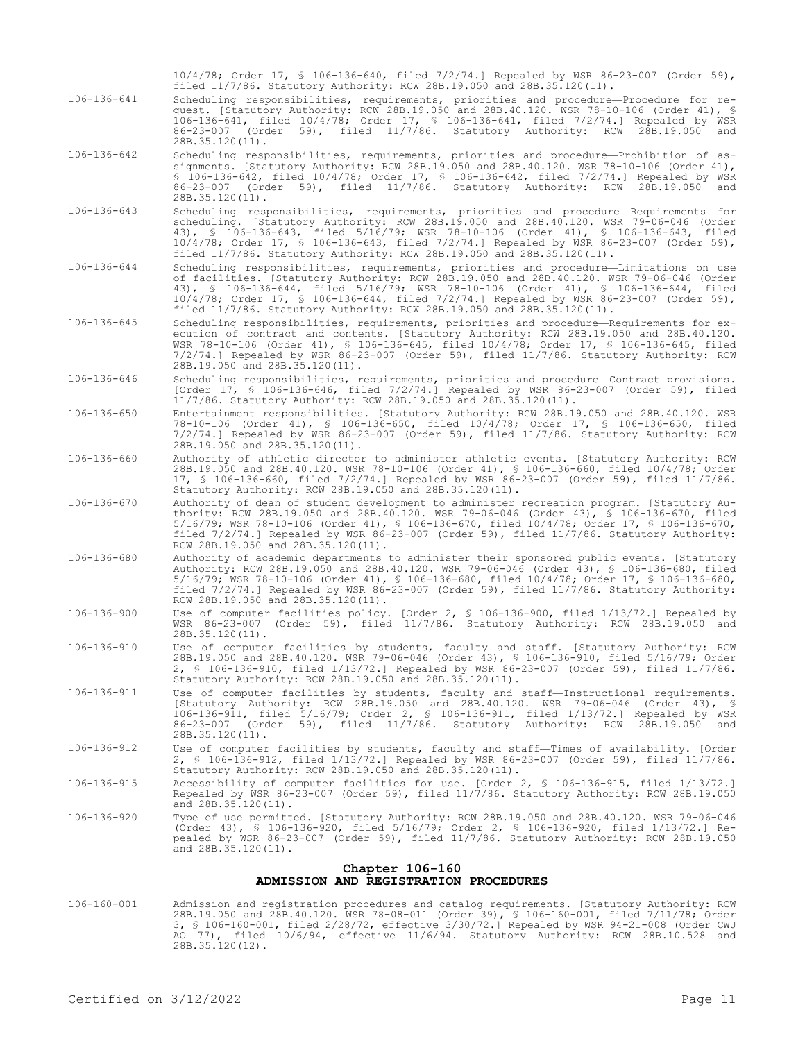10/4/78; Order 17, § 106-136-640, filed 7/2/74.] Repealed by WSR 86-23-007 (Order 59), filed 11/7/86. Statutory Authority: RCW 28B.19.050 and 28B.35.120(11).

- 106-136-641 Scheduling responsibilities, requirements, priorities and procedure—Procedure for request. [Statutory Authority: RCW 28B.19.050 and 28B.40.120. WSR 78-10-106 (Order 41), § 106-136-641, filed 10/4/78; Order 17, § 106-136-641, filed 7/2/74.] Repealed by WSR 86-23-007 (Order 59), filed 11/7/86. Statutory Authority: RCW 28B.19.050 and 28B.35.120(11).
- 106-136-642 Scheduling responsibilities, requirements, priorities and procedure—Prohibition of assignments. [Statutory Authority: RCW 28B.19.050 and 28B.40.120. WSR 78-10-106 (Order 41), § 106-136-642, filed 10/4/78; Order 17, § 106-136-642, filed 7/2/74.] Repealed by WSR 86-23-007 (Order 59), filed 11/7/86. Statutory Authority: RCW 28B.19.050 and 28B.35.120(11).
- 106-136-643 Scheduling responsibilities, requirements, priorities and procedure—Requirements for scheduling. [Statutory Authority: RCW 28B.19.050 and 28B.40.120. WSR 79-06-046 (Order 43), § 106-136-643, filed 5/16/79; WSR 78-10-106 (Order 41), § 106-136-643, filed 10/4/78; Order 17, § 106-136-643, filed 7/2/74.] Repealed by WSR 86-23-007 (Order 59), filed 11/7/86. Statutory Authority: RCW 28B.19.050 and 28B.35.120(11).
- 106-136-644 Scheduling responsibilities, requirements, priorities and procedure—Limitations on use of facilities. [Statutory Authority: RCW 28B.19.050 and 28B.40.120. WSR 79-06-046 (Order 43), § 106-136-644, filed 5/16/79; WSR 78-10-106 (Order 41), § 106-136-644, filed 10/4/78; Order 17, § 106-136-644, filed 7/2/74.] Repealed by WSR 86-23-007 (Order 59), filed 11/7/86. Statutory Authority: RCW 28B.19.050 and 28B.35.120(11).
- 106-136-645 Scheduling responsibilities, requirements, priorities and procedure—Requirements for execution of contract and contents. [Statutory Authority: RCW 28B.19.050 and 28B.40.120. WSR 78-10-106 (Order 41), § 106-136-645, filed 10/4/78; Order 17, § 106-136-645, filed 7/2/74.] Repealed by WSR 86-23-007 (Order 59), filed 11/7/86. Statutory Authority: RCW 28B.19.050 and 28B.35.120(11).
- 106-136-646 Scheduling responsibilities, requirements, priorities and procedure—Contract provisions. [Order 17, § 106-136-646, filed 7/2/74.] Repealed by WSR 86-23-007 (Order 59), filed 11/7/86. Statutory Authority: RCW 28B.19.050 and 28B.35.120(11).
- 106-136-650 Entertainment responsibilities. [Statutory Authority: RCW 28B.19.050 and 28B.40.120. WSR 78-10-106 (Order 41), § 106-136-650, filed 10/4/78; Order 17, § 106-136-650, filed 7/2/74.] Repealed by WSR 86-23-007 (Order 59), filed 11/7/86. Statutory Authority: RCW 28B.19.050 and 28B.35.120(11).
- 106-136-660 Authority of athletic director to administer athletic events. [Statutory Authority: RCW 28B.19.050 and 28B.40.120. WSR 78-10-106 (Order 41), § 106-136-660, filed 10/4/78; Order 17, § 106-136-660, filed 7/2/74.] Repealed by WSR 86-23-007 (Order 59), filed 11/7/86. Statutory Authority: RCW 28B.19.050 and 28B.35.120(11).
- 106-136-670 Authority of dean of student development to administer recreation program. [Statutory Authority: RCW 28B.19.050 and 28B.40.120. WSR 79-06-046 (Order 43), § 106-136-670, filed 5/16/79; WSR 78-10-106 (Order 41), § 106-136-670, filed 10/4/78; Order 17, § 106-136-670, filed 7/2/74.] Repealed by WSR 86-23-007 (Order 59), filed 11/7/86. Statutory Authority: RCW 28B.19.050 and 28B.35.120(11).
- 106-136-680 Authority of academic departments to administer their sponsored public events. [Statutory Authority: RCW 28B.19.050 and 28B.40.120. WSR 79-06-046 (Order 43), § 106-136-680, filed 5/16/79; WSR 78-10-106 (Order 41), § 106-136-680, filed 10/4/78; Order 17, § 106-136-680, filed 7/2/74.] Repealed by WSR 86-23-007 (Order 59), filed 11/7/86. Statutory Authority: RCW 28B.19.050 and 28B.35.120(11).
- 106-136-900 Use of computer facilities policy. [Order 2, § 106-136-900, filed 1/13/72.] Repealed by WSR 86-23-007 (Order 59), filed 11/7/86. Statutory Authority: RCW 28B.19.050 and 28B.35.120(11).
- 106-136-910 Use of computer facilities by students, faculty and staff. [Statutory Authority: RCW 28B.19.050 and 28B.40.120. WSR 79-06-046 (Order 43), § 106-136-910, filed 5/16/79; Order 2, § 106-136-910, filed 1/13/72.] Repealed by WSR 86-23-007 (Order 59), filed 11/7/86. Statutory Authority: RCW 28B.19.050 and 28B.35.120(11).
- 106-136-911 Use of computer facilities by students, faculty and staff—Instructional requirements. [Statutory Authority: RCW 28B.19.050 and 28B.40.120. WSR 79-06-046 (Order 43), § 106-136-911, filed 5/16/79; Order 2, § 106-136-911, filed 1/13/72.] Repealed by WSR 86-23-007 (Order 59), filed 11/7/86. Statutory Authority: RCW 28B.19.050 and 28B.35.120(11).
- 106-136-912 Use of computer facilities by students, faculty and staff—Times of availability. [Order 2, § 106-136-912, filed 1/13/72.] Repealed by WSR 86-23-007 (Order 59), filed 11/7/86. Statutory Authority: RCW 28B.19.050 and 28B.35.120(11).
- 106-136-915 Accessibility of computer facilities for use. [Order 2, § 106-136-915, filed 1/13/72.] Repealed by WSR 86-23-007 (Order 59), filed 11/7/86. Statutory Authority: RCW 28B.19.050 and 28B.35.120(11).
- 106-136-920 Type of use permitted. [Statutory Authority: RCW 28B.19.050 and 28B.40.120. WSR 79-06-046 (Order 43), § 106-136-920, filed 5/16/79; Order 2, § 106-136-920, filed 1/13/72.] Repealed by WSR 86-23-007 (Order 59), filed 11/7/86. Statutory Authority: RCW 28B.19.050 and 28B.35.120(11).

#### **Chapter 106-160 ADMISSION AND REGISTRATION PROCEDURES**

106-160-001 Admission and registration procedures and catalog requirements. [Statutory Authority: RCW 28B.19.050 and 28B.40.120. WSR 78-08-011 (Order 39), § 106-160-001, filed 7/11/78; Order 3, § 106-160-001, filed 2/28/72, effective 3/30/72.] Repealed by WSR 94-21-008 (Order CWU AO 77), filed 10/6/94, effective 11/6/94. Statutory Authority: RCW 28B.10.528 and 28B.35.120(12).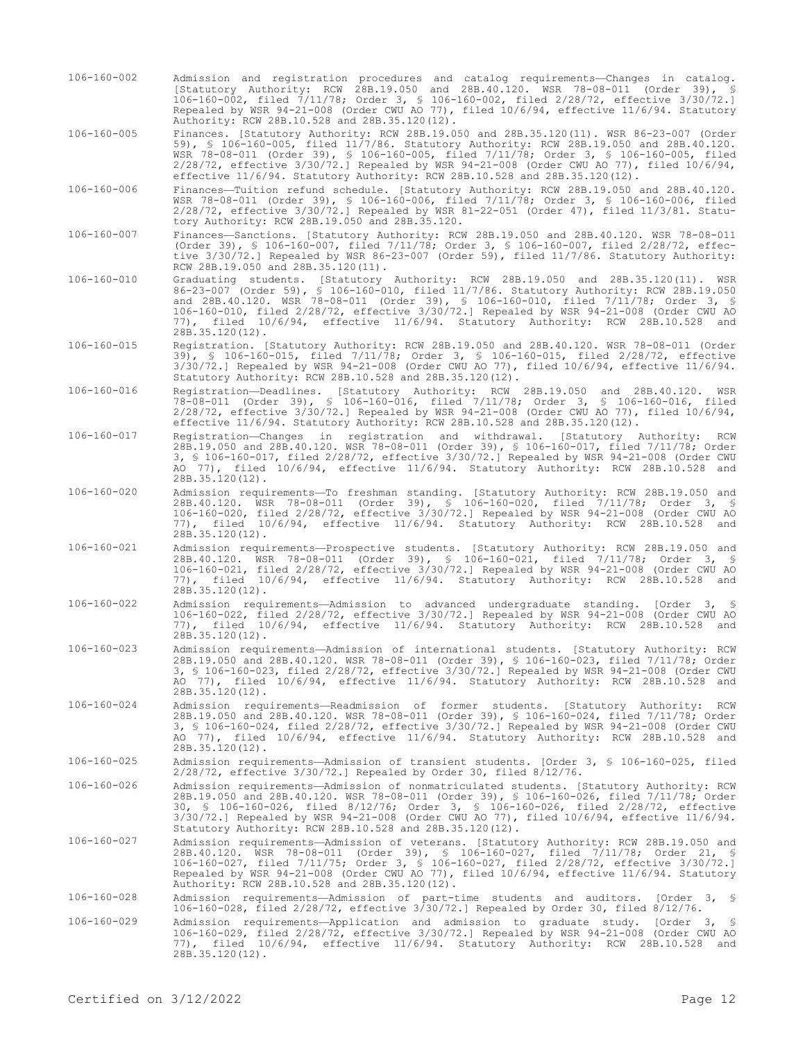106-160-002 Admission and registration procedures and catalog requirements—Changes in catalog. [Statutory Authority: RCW 28B.19.050 and 28B.40.120. WSR 78-08-011 (Order 39), § 106-160-002, filed 7/11/78; Order 3, § 106-160-002, filed 2/28/72, effective 3/30/72.] Repealed by WSR 94-21-008 (Order CWU AO 77), filed 10/6/94, effective 11/6/94. Statutory Authority: RCW 28B.10.528 and 28B.35.120(12). 106-160-005 Finances. [Statutory Authority: RCW 28B.19.050 and 28B.35.120(11). WSR 86-23-007 (Order 59), § 106-160-005, filed 11/7/86. Statutory Authority: RCW 28B.19.050 and 28B.40.120. WSR 78-08-011 (Order 39), § 106-160-005, filed 7/11/78; Order 3, § 106-160-005, filed 2/28/72, effective 3/30/72.] Repealed by WSR 94-21-008 (Order CWU AO 77), filed 10/6/94, effective 11/6/94. Statutory Authority: RCW 28B.10.528 and 28B.35.120(12). 106-160-006 Finances—Tuition refund schedule. [Statutory Authority: RCW 28B.19.050 and 28B.40.120. WSR 78-08-011 (Order 39), § 106-160-006, filed 7/11/78; Order 3, § 106-160-006, filed 2/28/72, effective 3/30/72.] Repealed by WSR 81-22-051 (Order 47), filed 11/3/81. Statutory Authority: RCW 28B.19.050 and 28B.35.120. 106-160-007 Finances—Sanctions. [Statutory Authority: RCW 28B.19.050 and 28B.40.120. WSR 78-08-011 (Order 39), § 106-160-007, filed 7/11/78; Order 3, § 106-160-007, filed 2/28/72, effective 3/30/72.] Repealed by WSR 86-23-007 (Order 59), filed 11/7/86. Statutory Authority: RCW 28B.19.050 and 28B.35.120(11). 106-160-010 Graduating students. [Statutory Authority: RCW 28B.19.050 and 28B.35.120(11). WSR 86-23-007 (Order 59), § 106-160-010, filed 11/7/86. Statutory Authority: RCW 28B.19.050 and 28B.40.120. WSR 78-08-011 (Order 39), § 106-160-010, filed 7/11/78; Order 3, § 106-160-010, filed 2/28/72, effective 3/30/72.] Repealed by WSR 94-21-008 (Order CWU AO 77), filed 10/6/94, effective 11/6/94. Statutory Authority: RCW 28B.10.528 and 28B.35.120(12). 106-160-015 Registration. [Statutory Authority: RCW 28B.19.050 and 28B.40.120. WSR 78-08-011 (Order 39), § 106-160-015, filed 7/11/78; Order 3, § 106-160-015, filed 2/28/72, effective 3/30/72.] Repealed by WSR 94-21-008 (Order CWU AO 77), filed 10/6/94, effective 11/6/94. Statutory Authority: RCW 28B.10.528 and 28B.35.120(12). 106-160-016 Registration—Deadlines. [Statutory Authority: RCW 28B.19.050 and 28B.40.120. WSR 78-08-011 (Order 39), § 106-160-016, filed 7/11/78; Order 3, § 106-160-016, filed 2/28/72, effective 3/30/72.] Repealed by WSR 94-21-008 (Order CWU AO 77), filed 10/6/94, effective 11/6/94. Statutory Authority: RCW 28B.10.528 and 28B.35.120(12). 106-160-017 Registration—Changes in registration and withdrawal. [Statutory Authority: RCW 28B.19.050 and 28B.40.120. WSR 78-08-011 (Order 39), § 106-160-017, filed 7/11/78; Order 3, § 106-160-017, filed 2/28/72, effective 3/30/72.] Repealed by WSR 94-21-008 (Order CWU AO 77), filed 10/6/94, effective 11/6/94. Statutory Authority: RCW 28B.10.528 and 28B.35.120(12). 106-160-020 Admission requirements—To freshman standing. [Statutory Authority: RCW 28B.19.050 and 28B.40.120. WSR 78-08-011 (Order 39), § 106-160-020, filed 7/11/78; Order 3, § 106-160-020, filed 2/28/72, effective 3/30/72.] Repealed by WSR 94-21-008 (Order CWU AO 77), filed 10/6/94, effective 11/6/94. Statutory Authority: RCW 28B.10.528 and 28B.35.120(12). 106-160-021 Admission requirements—Prospective students. [Statutory Authority: RCW 28B.19.050 and 28B.40.120. WSR 78-08-011 (Order 39), § 106-160-021, filed 7/11/78; Order 3, § 106-160-021, filed 2/28/72, effective 3/30/72.] Repealed by WSR 94-21-008 (Order CWU AO 77), filed 10/6/94, effective 11/6/94. Statutory Authority: RCW 28B.10.528 and  $28B.35.120(12)$ . 106-160-022 Admission requirements—Admission to advanced undergraduate standing. [Order 3, § 106-160-022, filed 2/28/72, effective 3/30/72.] Repealed by WSR 94-21-008 (Order CWU AO 77), filed 10/6/94, effective 11/6/94. Statutory Authority: RCW 28B.10.528 and 28B.35.120(12). 106-160-023 Admission requirements—Admission of international students. [Statutory Authority: RCW 28B.19.050 and 28B.40.120. WSR 78-08-011 (Order 39), § 106-160-023, filed 7/11/78; Order 3, § 106-160-023, filed 2/28/72, effective 3/30/72.] Repealed by WSR 94-21-008 (Order CWU AO 77), filed 10/6/94, effective 11/6/94. Statutory Authority: RCW 28B.10.528 and 28B.35.120(12). 106-160-024 Admission requirements—Readmission of former students. [Statutory Authority: RCW 28B.19.050 and 28B.40.120. WSR 78-08-011 (Order 39), § 106-160-024, filed 7/11/78; Order 3, § 106-160-024, filed 2/28/72, effective 3/30/72.] Repealed by WSR 94-21-008 (Order CWU AO 77), filed 10/6/94, effective 11/6/94. Statutory Authority: RCW 28B.10.528 and 28B.35.120(12). 106-160-025 Admission requirements—Admission of transient students. [Order 3, § 106-160-025, filed 2/28/72, effective 3/30/72.] Repealed by Order 30, filed 8/12/76. 106-160-026 Admission requirements—Admission of nonmatriculated students. [Statutory Authority: RCW 28B.19.050 and 28B.40.120. WSR 78-08-011 (Order 39), § 106-160-026, filed 7/11/78; Order 30, § 106-160-026, filed 8/12/76; Order 3, § 106-160-026, filed 2/28/72, effective 3/30/72.] Repealed by WSR 94-21-008 (Order CWU AO 77), filed 10/6/94, effective 11/6/94. Statutory Authority: RCW 28B.10.528 and 28B.35.120(12). 106-160-027 Admission requirements—Admission of veterans. [Statutory Authority: RCW 28B.19.050 and 28B.40.120. WSR 78-08-011 (Order 39), § 106-160-027, filed 7/11/78; Order 21, § 106-160-027, filed 7/11/75; Order 3, § 106-160-027, filed 2/28/72, effective 3/30/72.] Repealed by WSR 94-21-008 (Order CWU AO 77), filed 10/6/94, effective 11/6/94. Statutory Authority: RCW 28B.10.528 and 28B.35.120(12). 106-160-028 Admission requirements—Admission of part-time students and auditors. [Order 3, § 106-160-028, filed 2/28/72, effective 3/30/72.] Repealed by Order 30, filed 8/12/76. 106-160-029 Admission requirements—Application and admission to graduate study. [Order 3, § 106-160-029, filed 2/28/72, effective 3/30/72.] Repealed by WSR 94-21-008 (Order CWU AO 77), filed 10/6/94, effective 11/6/94. Statutory Authority: RCW 28B.10.528 and 28B.35.120(12).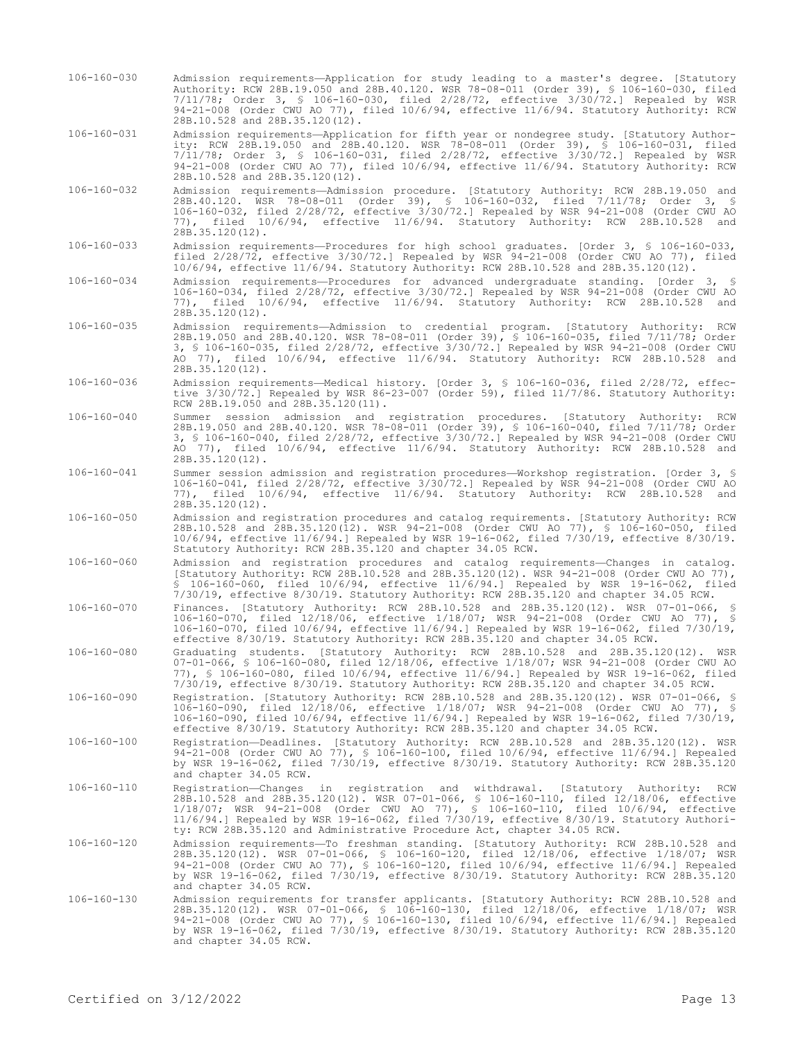106-160-030 Admission requirements—Application for study leading to a master's degree. [Statutory Authority: RCW 28B.19.050 and 28B.40.120. WSR 78-08-011 (Order 39), § 106-160-030, filed 7/11/78; Order 3, § 106-160-030, filed 2/28/72, effective 3/30/72.] Repealed by WSR 94-21-008 (Order CWU AO 77), filed 10/6/94, effective 11/6/94. Statutory Authority: RCW 28B.10.528 and 28B.35.120(12).

106-160-031 Admission requirements—Application for fifth year or nondegree study. [Statutory Authority: RCW 28B.19.050 and 28B.40.120. WSR 78-08-011 (Order 39), § 106-160-031, filed 7/11/78; Order 3, § 106-160-031, filed 2/28/72, effective 3/30/72.] Repealed by WSR 94-21-008 (Order CWU AO 77), filed 10/6/94, effective 11/6/94. Statutory Authority: RCW 28B.10.528 and 28B.35.120(12).

106-160-032 Admission requirements—Admission procedure. [Statutory Authority: RCW 28B.19.050 and 28B.40.120. WSR 78-08-011 (Order 39), § 106-160-032, filed 7/11/78; Order 3, § 106-160-032, filed 2/28/72, effective 3/30/72.] Repealed by WSR 94-21-008 (Order CWU AO 77), filed 10/6/94, effective 11/6/94. Statutory Authority: RCW 28B.10.528 and 28B.35.120(12).

106-160-033 Admission requirements—Procedures for high school graduates. [Order 3, § 106-160-033, filed 2/28/72, effective 3/30/72.] Repealed by WSR 94-21-008 (Order CWU AO 77), filed 10/6/94, effective 11/6/94. Statutory Authority: RCW 28B.10.528 and 28B.35.120(12).

- 106-160-034 Admission requirements—Procedures for advanced undergraduate standing. [Order 3, § 106-160-034, filed 2/28/72, effective 3/30/72.] Repealed by WSR 94-21-008 (Order CWU AO 77), filed 10/6/94, effective 11/6/94. Statutory Authority: RCW 28B.10.528 and 28B.35.120(12).
- 106-160-035 Admission requirements—Admission to credential program. [Statutory Authority: RCW 28B.19.050 and 28B.40.120. WSR 78-08-011 (Order 39), § 106-160-035, filed 7/11/78; Order 3, § 106-160-035, filed 2/28/72, effective 3/30/72.] Repealed by WSR 94-21-008 (Order CWU AO 77), filed 10/6/94, effective 11/6/94. Statutory Authority: RCW 28B.10.528 and 28B.35.120(12).
- 106-160-036 Admission requirements—Medical history. [Order 3, § 106-160-036, filed 2/28/72, effective 3/30/72.] Repealed by WSR 86-23-007 (Order 59), filed 11/7/86. Statutory Authority: RCW 28B.19.050 and 28B.35.120(11).
- 106-160-040 Summer session admission and registration procedures. [Statutory Authority: RCW 28B.19.050 and 28B.40.120. WSR 78-08-011 (Order 39), § 106-160-040, filed 7/11/78; Order 3, § 106-160-040, filed 2/28/72, effective 3/30/72.] Repealed by WSR 94-21-008 (Order CWU AO 77), filed 10/6/94, effective 11/6/94. Statutory Authority: RCW 28B.10.528 and 28B.35.120(12).
- 106-160-041 Summer session admission and registration procedures—Workshop registration. [Order 3, § 106-160-041, filed 2/28/72, effective 3/30/72.] Repealed by WSR 94-21-008 (Order CWU AO 77), filed 10/6/94, effective 11/6/94. Statutory Authority: RCW 28B.10.528 and 28B.35.120(12).
- 106-160-050 Admission and registration procedures and catalog requirements. [Statutory Authority: RCW 28B.10.528 and 28B.35.120(12). WSR 94-21-008 (Order CWU AO 77), § 106-160-050, filed 10/6/94, effective 11/6/94.] Repealed by WSR 19-16-062, filed 7/30/19, effective 8/30/19. Statutory Authority: RCW 28B.35.120 and chapter 34.05 RCW.
- 106-160-060 Admission and registration procedures and catalog requirements—Changes in catalog. [Statutory Authority: RCW 28B.10.528 and 28B.35.120(12). WSR 94-21-008 (Order CWU AO 77), § 106-160-060, filed 10/6/94, effective 11/6/94.] Repealed by WSR 19-16-062, filed 7/30/19, effective 8/30/19. Statutory Authority: RCW 28B.35.120 and chapter 34.05 RCW.
- 106-160-070 Finances. [Statutory Authority: RCW 28B.10.528 and 28B.35.120(12). WSR 07-01-066, § 106-160-070, filed 12/18/06, effective 1/18/07; WSR 94-21-008 (Order CWU AO 77), § 106-160-070, filed 10/6/94, effective 11/6/94.] Repealed by WSR 19-16-062, filed 7/30/19, effective 8/30/19. Statutory Authority: RCW 28B.35.120 and chapter 34.05 RCW.
- 106-160-080 Graduating students. [Statutory Authority: RCW 28B.10.528 and 28B.35.120(12). WSR 07-01-066, § 106-160-080, filed 12/18/06, effective 1/18/07; WSR 94-21-008 (Order CWU AO 77), § 106-160-080, filed 10/6/94, effective 11/6/94.] Repealed by WSR 19-16-062, filed 7/30/19, effective 8/30/19. Statutory Authority: RCW 28B.35.120 and chapter 34.05 RCW.
- 106-160-090 Registration. [Statutory Authority: RCW 28B.10.528 and 28B.35.120(12). WSR 07-01-066, § 106-160-090, filed 12/18/06, effective 1/18/07; WSR 94-21-008 (Order CWU AO 77), § 106-160-090, filed 10/6/94, effective 11/6/94.] Repealed by WSR 19-16-062, filed 7/30/19, effective 8/30/19. Statutory Authority: RCW 28B.35.120 and chapter 34.05 RCW.
- 106-160-100 Registration—Deadlines. [Statutory Authority: RCW 28B.10.528 and 28B.35.120(12). WSR 94-21-008 (Order CWU AO 77), § 106-160-100, filed 10/6/94, effective 11/6/94.] Repealed by WSR 19-16-062, filed 7/30/19, effective 8/30/19. Statutory Authority: RCW 28B.35.120 and chapter 34.05 RCW.
- 106-160-110 Registration—Changes in registration and withdrawal. [Statutory Authority: RCW 28B.10.528 and 28B.35.120(12). WSR 07-01-066, § 106-160-110, filed 12/18/06, effective 1/18/07; WSR 94-21-008 (Order CWU AO 77), § 106-160-110, filed 10/6/94, effective 11/6/94.] Repealed by WSR 19-16-062, filed 7/30/19, effective 8/30/19. Statutory Authority: RCW 28B.35.120 and Administrative Procedure Act, chapter 34.05 RCW.
- 106-160-120 Admission requirements—To freshman standing. [Statutory Authority: RCW 28B.10.528 and 28B.35.120(12). WSR 07-01-066, § 106-160-120, filed 12/18/06, effective 1/18/07; WSR 94-21-008 (Order CWU AO 77), § 106-160-120, filed 10/6/94, effective 11/6/94.] Repealed by WSR 19-16-062, filed 7/30/19, effective 8/30/19. Statutory Authority: RCW 28B.35.120 and chapter 34.05 RCW.
- 106-160-130 Admission requirements for transfer applicants. [Statutory Authority: RCW 28B.10.528 and<br>28B.35.120(12). WSR 07-01-066, § 106-160-130, filed 12/18/06, effective 1/18/07; WSR<br>94-21-008 (Order CWU AO 77), § 106-1 by WSR 19-16-062, filed 7/30/19, effective 8/30/19. Statutory Authority: RCW 28B.35.120 and chapter 34.05 RCW.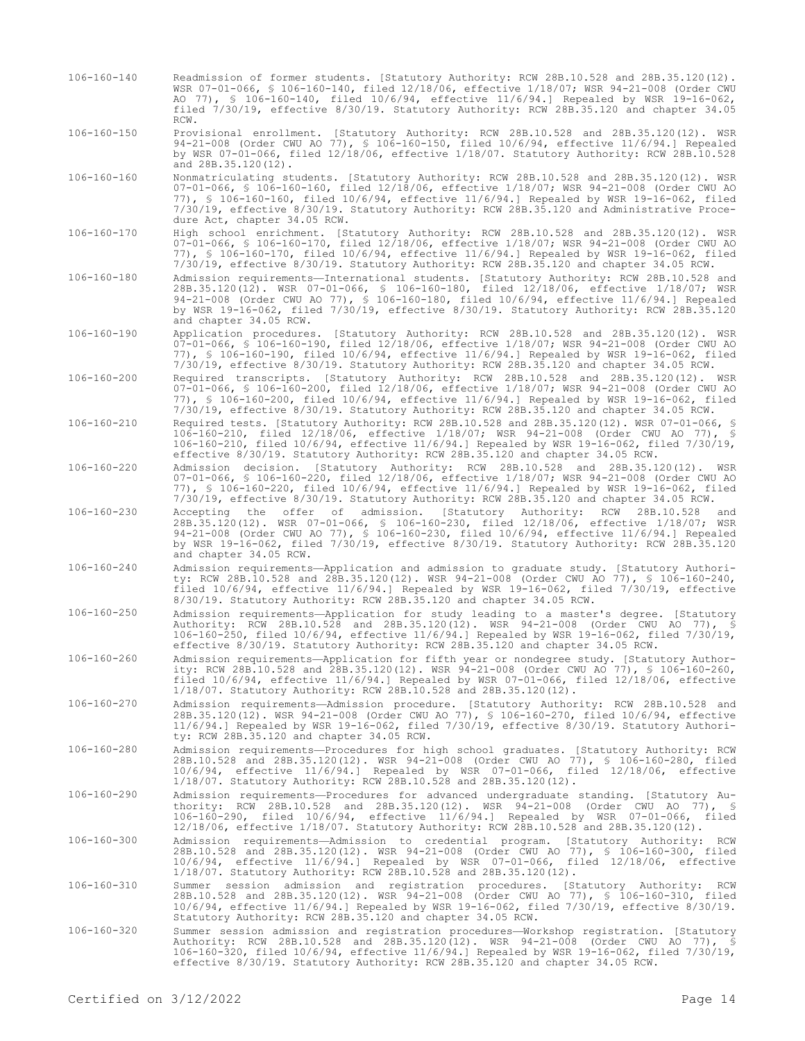- 106-160-140 Readmission of former students. [Statutory Authority: RCW 28B.10.528 and 28B.35.120(12). WSR 07-01-066, § 106-160-140, filed 12/18/06, effective 1/18/07; WSR 94-21-008 (Order CWU AO 77), § 106-160-140, filed 10/6/94, effective 11/6/94.] Repealed by WSR 19-16-062, filed 7/30/19, effective 8/30/19. Statutory Authority: RCW 28B.35.120 and chapter 34.05 RCW.
- 106-160-150 Provisional enrollment. [Statutory Authority: RCW 28B.10.528 and 28B.35.120(12). WSR 94-21-008 (Order CWU AO 77), § 106-160-150, filed 10/6/94, effective 11/6/94.] Repealed by WSR 07-01-066, filed 12/18/06, effective 1/18/07. Statutory Authority: RCW 28B.10.528 and 28B.35.120(12).
- 106-160-160 Nonmatriculating students. [Statutory Authority: RCW 28B.10.528 and 28B.35.120(12). WSR 07-01-066, § 106-160-160, filed 12/18/06, effective 1/18/07; WSR 94-21-008 (Order CWU AO 77), § 106-160-160, filed 10/6/94, effective 11/6/94.] Repealed by WSR 19-16-062, filed 7/30/19, effective 8/30/19. Statutory Authority: RCW 28B.35.120 and Administrative Procedure Act, chapter 34.05 RCW.
- 106-160-170 High school enrichment. [Statutory Authority: RCW 28B.10.528 and 28B.35.120(12). WSR 07-01-066, § 106-160-170, filed 12/18/06, effective 1/18/07; WSR 94-21-008 (Order CWU AO 77), § 106-160-170, filed 10/6/94, effective 11/6/94.] Repealed by WSR 19-16-062, filed 7/30/19, effective 8/30/19. Statutory Authority: RCW 28B.35.120 and chapter 34.05 RCW.
- 106-160-180 Admission requirements—International students. [Statutory Authority: RCW 28B.10.528 and 28B.35.120(12). WSR 07-01-066, § 106-160-180, filed 12/18/06, effective 1/18/07; WSR 94-21-008 (Order CWU AO 77), § 106-160-180, filed 10/6/94, effective 11/6/94.] Repealed by WSR 19-16-062, filed 7/30/19, effective 8/30/19. Statutory Authority: RCW 28B.35.120 and chapter 34.05 RCW.
- 106-160-190 Application procedures. [Statutory Authority: RCW 28B.10.528 and 28B.35.120(12). WSR 07-01-066, § 106-160-190, filed 12/18/06, effective 1/18/07; WSR 94-21-008 (Order CWU AO 77), § 106-160-190, filed 10/6/94, effective 11/6/94.] Repealed by WSR 19-16-062, filed 7/30/19, effective 8/30/19. Statutory Authority: RCW 28B.35.120 and chapter 34.05 RCW.
- 106-160-200 Required transcripts. [Statutory Authority: RCW 28B.10.528 and 28B.35.120(12). WSR 07-01-066, § 106-160-200, filed 12/18/06, effective 1/18/07; WSR 94-21-008 (Order CWU AO 77), § 106-160-200, filed 10/6/94, effective 11/6/94.] Repealed by WSR 19-16-062, filed 7/30/19, effective 8/30/19. Statutory Authority: RCW 28B.35.120 and chapter 34.05 RCW.
- 106-160-210 Required tests. [Statutory Authority: RCW 28B.10.528 and 28B.35.120(12). WSR 07-01-066, § 106-160-210, filed 12/18/06, effective 1/18/07; WSR 94-21-008 (Order CWU AO 77), § 106-160-210, filed 10/6/94, effective 11/6/94.] Repealed by WSR 19-16-062, filed 7/30/19, effective 8/30/19. Statutory Authority: RCW 28B.35.120 and chapter 34.05 RCW.
- 106-160-220 Admission decision. [Statutory Authority: RCW 28B.10.528 and 28B.35.120(12). WSR 07-01-066, § 106-160-220, filed 12/18/06, effective 1/18/07; WSR 94-21-008 (Order CWU AO 77), § 106-160-220, filed 10/6/94, effective 11/6/94.] Repealed by WSR 19-16-062, filed 7/30/19, effective 8/30/19. Statutory Authority: RCW 28B.35.120 and chapter 34.05 RCW.
- 106-160-230 Accepting the offer of admission. [Statutory Authority: RCW 28B.10.528 and 28B.35.120(12). WSR 07-01-066, § 106-160-230, filed 12/18/06, effective 1/18/07; WSR 94-21-008 (Order CWU AO 77), § 106-160-230, filed 10/6/94, effective 11/6/94.] Repealed by WSR 19-16-062, filed 7/30/19, effective 8/30/19. Statutory Authority: RCW 28B.35.120 and chapter 34.05 RCW.
- 106-160-240 Admission requirements—Application and admission to graduate study. [Statutory Authority: RCW 28B.10.528 and 28B.35.120(12). WSR 94-21-008 (Order CWU AO 77), § 106-160-240, filed 10/6/94, effective 11/6/94.] Repealed by WSR 19-16-062, filed 7/30/19, effective 8/30/19. Statutory Authority: RCW 28B.35.120 and chapter 34.05 RCW.
- 106-160-250 Admission requirements—Application for study leading to a master's degree. [Statutory Authority: RCW 28B.10.528 and 28B.35.120(12). WSR 94-21-008 (Order CWU AO 77), § 106-160-250, filed 10/6/94, effective 11/6/94.] Repealed by WSR 19-16-062, filed 7/30/19, effective 8/30/19. Statutory Authority: RCW 28B.35.120 and chapter 34.05 RCW.
- 106-160-260 Admission requirements—Application for fifth year or nondegree study. [Statutory Authority: RCW 28B.10.528 and 28B.35.120(12). WSR 94-21-008 (Order CWU AO 77), § 106-160-260, filed 10/6/94, effective 11/6/94.] Repealed by WSR 07-01-066, filed 12/18/06, effective 1/18/07. Statutory Authority: RCW 28B.10.528 and 28B.35.120(12).
- 106-160-270 Admission requirements—Admission procedure. [Statutory Authority: RCW 28B.10.528 and 28B.35.120(12). WSR 94-21-008 (Order CWU AO 77), § 106-160-270, filed 10/6/94, effective 11/6/94.] Repealed by WSR 19-16-062, filed 7/30/19, effective 8/30/19. Statutory Authority: RCW 28B.35.120 and chapter 34.05 RCW.
- 106-160-280 Admission requirements—Procedures for high school graduates. [Statutory Authority: RCW 28B.10.528 and 28B.35.120(12). WSR 94-21-008 (Order CWU AO 77), § 106-160-280, filed 10/6/94, effective 11/6/94.] Repealed by WSR 07-01-066, filed 12/18/06, effective 1/18/07. Statutory Authority: RCW 28B.10.528 and 28B.35.120(12).
- 106-160-290 Admission requirements—Procedures for advanced undergraduate standing. [Statutory Authority: RCW 28B.10.528 and 28B.35.120(12). WSR 94-21-008 (Order CWU AO 77), § 106-160-290, filed 10/6/94, effective 11/6/94.] Repealed by WSR 07-01-066, filed 12/18/06, effective 1/18/07. Statutory Authority: RCW 28B.10.528 and 28B.35.120(12).
- 106-160-300 Admission requirements—Admission to credential program. [Statutory Authority: RCW 28B.10.528 and 28B.35.120(12). WSR 94-21-008 (Order CWU AO 77), § 106-160-300, filed 10/6/94, effective 11/6/94.] Repealed by WSR 07-01-066, filed 12/18/06, effective 1/18/07. Statutory Authority: RCW 28B.10.528 and 28B.35.120(12).
- 106-160-310 Summer session admission and registration procedures. [Statutory Authority: RCW<br>28B.10.528 and 28B.35.120(12). WSR 94-21-008 (Order CWU AO 77), § 106-160-310, filed<br>10/6/94, effective 11/6/94.] Repealed by WSR Statutory Authority: RCW 28B.35.120 and chapter 34.05 RCW.
- 106-160-320 Summer session admission and registration procedures—Workshop registration. [Statutory Authority: RCW 28B.10.528 and 28B.35.120(12). WSR 94-21-008 (Order CWU AO 77), § 106-160-320, filed 10/6/94, effective 11/6/94.] Repealed by WSR 19-16-062, filed 7/30/19, effective 8/30/19. Statutory Authority: RCW 28B.35.120 and chapter 34.05 RCW.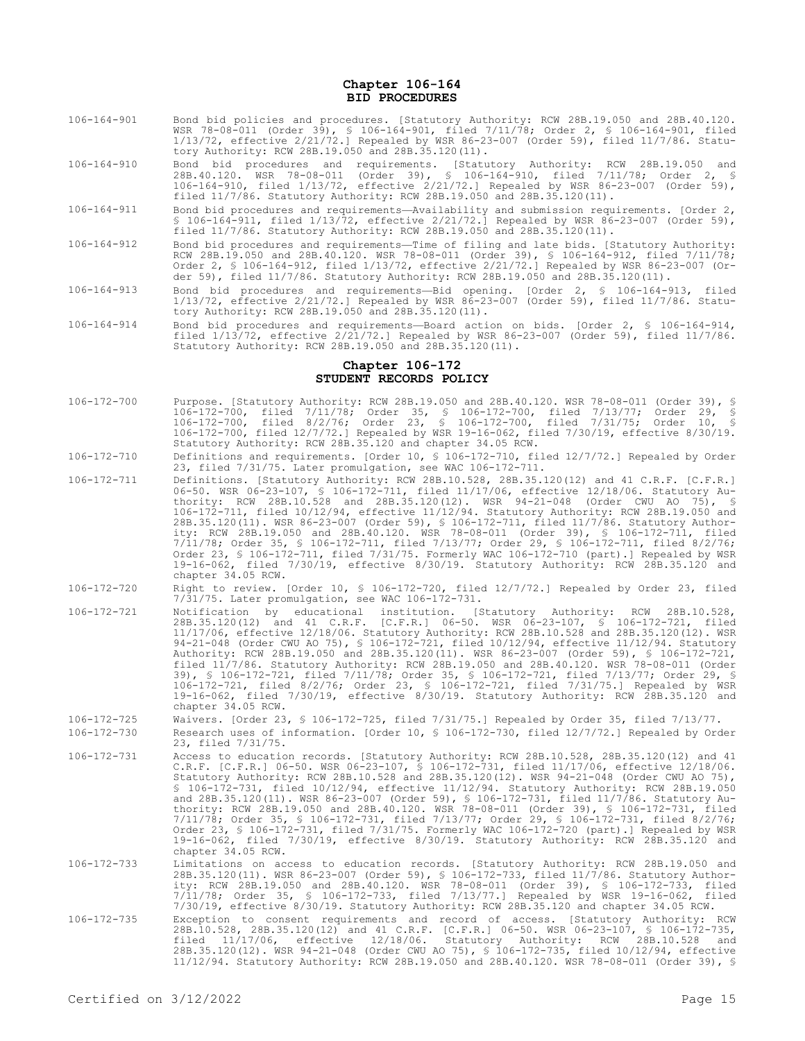### **Chapter 106-164 BID PROCEDURES**

- 106-164-901 Bond bid policies and procedures. [Statutory Authority: RCW 28B.19.050 and 28B.40.120. WSR 78-08-011 (Order 39), § 106-164-901, filed 7/11/78; Order 2, § 106-164-901, filed 1/13/72, effective 2/21/72.] Repealed by WSR 86-23-007 (Order 59), filed 11/7/86. Statutory Authority: RCW 28B.19.050 and 28B.35.120(11).
- 106-164-910 Bond bid procedures and requirements. [Statutory Authority: RCW 28B.19.050 and 28B.40.120. WSR 78-08-011 (Order 39), § 106-164-910, filed 7/11/78; Order 2, § 106-164-910, filed 1/13/72, effective 2/21/72.] Repealed by WSR 86-23-007 (Order 59), filed 11/7/86. Statutory Authority: RCW 28B.19.050 and 28B.35.120(11).
- 106-164-911 Bond bid procedures and requirements—Availability and submission requirements. [Order 2, § 106-164-911, filed 1/13/72, effective 2/21/72.] Repealed by WSR 86-23-007 (Order 59), filed 11/7/86. Statutory Authority: RCW 28B.19.050 and 28B.35.120(11).
- 106-164-912 Bond bid procedures and requirements—Time of filing and late bids. [Statutory Authority: RCW 28B.19.050 and 28B.40.120. WSR 78-08-011 (Order 39), § 106-164-912, filed 7/11/78; Order 2, § 106-164-912, filed 1/13/72, effective 2/21/72.] Repealed by WSR 86-23-007 (Order 59), filed 11/7/86. Statutory Authority: RCW 28B.19.050 and 28B.35.120(11).
- 106-164-913 Bond bid procedures and requirements—Bid opening. [Order 2, § 106-164-913, filed 1/13/72, effective 2/21/72.] Repealed by WSR 86-23-007 (Order 59), filed 11/7/86. Statutory Authority: RCW 28B.19.050 and 28B.35.120(11).
- 106-164-914 Bond bid procedures and requirements—Board action on bids. [Order 2, § 106-164-914, filed 1/13/72, effective 2/21/72.] Repealed by WSR 86-23-007 (Order 59), filed 11/7/86. Statutory Authority: RCW 28B.19.050 and 28B.35.120(11).

#### **Chapter 106-172 STUDENT RECORDS POLICY**

- 106-172-700 Purpose. [Statutory Authority: RCW 28B.19.050 and 28B.40.120. WSR 78-08-011 (Order 39), § 106-172-700, filed 7/11/78; Order 35, § 106-172-700, filed 7/13/77; Order 29, § 106-172-700, filed 8/2/76; Order 23, § 106-172-700, filed 7/31/75; Order 10, § 106-172-700, filed 12/7/72.] Repealed by WSR 19-16-062, filed 7/30/19, effective 8/30/19. Statutory Authority: RCW 28B.35.120 and chapter 34.05 RCW.
- 106-172-710 Definitions and requirements. [Order 10, § 106-172-710, filed 12/7/72.] Repealed by Order 23, filed 7/31/75. Later promulgation, see WAC 106-172-711.
- 106-172-711 Definitions. [Statutory Authority: RCW 28B.10.528, 28B.35.120(12) and 41 C.R.F. [C.F.R.] 06-50. WSR 06-23-107, § 106-172-711, filed 11/17/06, effective 12/18/06. Statutory Authority: RCW 28B.10.528 and 28B.35.120(12). WSR 94-21-048 (Order CWU AO 75), § 106-172-711, filed 10/12/94, effective 11/12/94. Statutory Authority: RCW 28B.19.050 and 28B.35.120(11). WSR 86-23-007 (Order 59), § 106-172-711, filed 11/7/86. Statutory Authority: RCW 28B.19.050 and 28B.40.120. WSR 78-08-011 (Order 39), § 106-172-711, filed 7/11/78; Order 35, § 106-172-711, filed 7/13/77; Order 29, § 106-172-711, filed 8/2/76; Order 23, § 106-172-711, filed 7/31/75. Formerly WAC 106-172-710 (part).] Repealed by WSR 19-16-062, filed 7/30/19, effective 8/30/19. Statutory Authority: RCW 28B.35.120 and chapter 34.05 RCW.
- 106-172-720 Right to review. [Order 10, § 106-172-720, filed 12/7/72.] Repealed by Order 23, filed 7/31/75. Later promulgation, see WAC 106-172-731.
- 106-172-721 Notification by educational institution. [Statutory Authority: RCW 28B.10.528, 28B.35.120(12) and 41 C.R.F. [C.F.R.] 06-50. WSR 06-23-107, § 106-172-721, filed 11/17/06, effective 12/18/06. Statutory Authority: RCW 28B.10.528 and 28B.35.120(12). WSR 94-21-048 (Order CWU AO 75), § 106-172-721, filed 10/12/94, effective 11/12/94. Statutory Authority: RCW 28B.19.050 and 28B.35.120(11). WSR 86-23-007 (Order 59), § 106-172-721, filed 11/7/86. Statutory Authority: RCW 28B.19.050 and 28B.40.120. WSR 78-08-011 (Order 39), § 106-172-721, filed 7/11/78; Order 35, § 106-172-721, filed 7/13/77; Order 29, § 106-172-721, filed 8/2/76; Order 23, § 106-172-721, filed 7/31/75.] Repealed by WSR 19-16-062, filed 7/30/19, effective 8/30/19. Statutory Authority: RCW 28B.35.120 and chapter 34.05 RCW.
- 106-172-725 Waivers. [Order 23, § 106-172-725, filed 7/31/75.] Repealed by Order 35, filed 7/13/77.

106-172-730 Research uses of information. [Order 10, § 106-172-730, filed 12/7/72.] Repealed by Order 23, filed 7/31/75.

- 106-172-731 Access to education records. [Statutory Authority: RCW 28B.10.528, 28B.35.120(12) and 41 C.R.F. [C.F.R.] 06-50. WSR 06-23-107, § 106-172-731, filed 11/17/06, effective 12/18/06. Statutory Authority: RCW 28B.10.528 and 28B.35.120(12). WSR 94-21-048 (Order CWU AO 75), § 106-172-731, filed 10/12/94, effective 11/12/94. Statutory Authority: RCW 28B.19.050 and 28B.35.120(11). WSR 86-23-007 (Order 59), § 106-172-731, filed 11/7/86. Statutory Authority: RCW 28B.19.050 and 28B.40.120. WSR 78-08-011 (Order 39), § 106-172-731, filed 7/11/78; Order 35, § 106-172-731, filed 7/13/77; Order 29, § 106-172-731, filed 8/2/76; Order 23, § 106-172-731, filed 7/31/75. Formerly WAC 106-172-720 (part).] Repealed by WSR 19-16-062, filed 7/30/19, effective 8/30/19. Statutory Authority: RCW 28B.35.120 and chapter 34.05 RCW.
- 106-172-733 Limitations on access to education records. [Statutory Authority: RCW 28B.19.050 and 28B.35.120(11). WSR 86-23-007 (Order 59), § 106-172-733, filed 11/7/86. Statutory Author-ity: RCW 28B.19.050 and 28B.40.120. WSR 78-08-011 (Order 39), § 106-172-733, filed 7/11/78; Order 35, § 106-172-733, filed 7/13/77.] Repealed by WSR 19-16-062, filed 7/30/19, effective 8/30/19. Statutory Authority: RCW 28B.35.120 and chapter 34.05 RCW.
- Exception to consent requirements and record of access. [Statutory Authority: RCW 28B.10.528, 28B.35.120(12) and 41 C.R.F. [C.F.R.] 06-50. WSR 06-23-107, § 106-172-735,<br>28B.10.528, 28B.35.120(12) and 41 C.R.F. [C.F.R.] 06-28B.35.120(12). WSR 94-21-048 (Order CWU AO 75), § 106-172-735, filed 10/12/94, effective 11/12/94. Statutory Authority: RCW 28B.19.050 and 28B.40.120. WSR 78-08-011 (Order 39), §